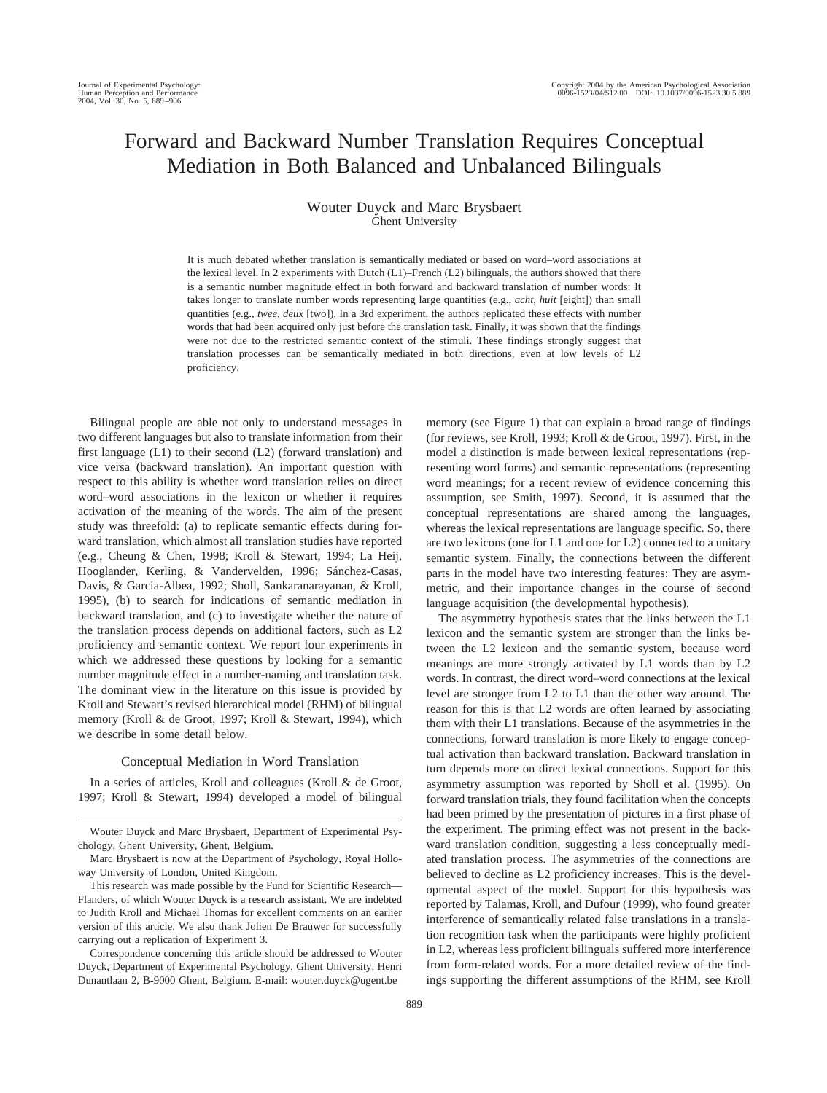# Forward and Backward Number Translation Requires Conceptual Mediation in Both Balanced and Unbalanced Bilinguals

## Wouter Duyck and Marc Brysbaert Ghent University

It is much debated whether translation is semantically mediated or based on word–word associations at the lexical level. In 2 experiments with Dutch (L1)–French (L2) bilinguals, the authors showed that there is a semantic number magnitude effect in both forward and backward translation of number words: It takes longer to translate number words representing large quantities (e.g., *acht, huit* [eight]) than small quantities (e.g., *twee, deux* [two]). In a 3rd experiment, the authors replicated these effects with number words that had been acquired only just before the translation task. Finally, it was shown that the findings were not due to the restricted semantic context of the stimuli. These findings strongly suggest that translation processes can be semantically mediated in both directions, even at low levels of L2 proficiency.

Bilingual people are able not only to understand messages in two different languages but also to translate information from their first language (L1) to their second (L2) (forward translation) and vice versa (backward translation). An important question with respect to this ability is whether word translation relies on direct word–word associations in the lexicon or whether it requires activation of the meaning of the words. The aim of the present study was threefold: (a) to replicate semantic effects during forward translation, which almost all translation studies have reported (e.g., Cheung & Chen, 1998; Kroll & Stewart, 1994; La Heij, Hooglander, Kerling, & Vandervelden, 1996; Sánchez-Casas, Davis, & Garcia-Albea, 1992; Sholl, Sankaranarayanan, & Kroll, 1995), (b) to search for indications of semantic mediation in backward translation, and (c) to investigate whether the nature of the translation process depends on additional factors, such as L2 proficiency and semantic context. We report four experiments in which we addressed these questions by looking for a semantic number magnitude effect in a number-naming and translation task. The dominant view in the literature on this issue is provided by Kroll and Stewart's revised hierarchical model (RHM) of bilingual memory (Kroll & de Groot, 1997; Kroll & Stewart, 1994), which we describe in some detail below.

## Conceptual Mediation in Word Translation

In a series of articles, Kroll and colleagues (Kroll & de Groot, 1997; Kroll & Stewart, 1994) developed a model of bilingual

Wouter Duyck and Marc Brysbaert, Department of Experimental Psychology, Ghent University, Ghent, Belgium.

This research was made possible by the Fund for Scientific Research— Flanders, of which Wouter Duyck is a research assistant. We are indebted to Judith Kroll and Michael Thomas for excellent comments on an earlier version of this article. We also thank Jolien De Brauwer for successfully carrying out a replication of Experiment 3.

Correspondence concerning this article should be addressed to Wouter Duyck, Department of Experimental Psychology, Ghent University, Henri Dunantlaan 2, B-9000 Ghent, Belgium. E-mail: wouter.duyck@ugent.be

memory (see Figure 1) that can explain a broad range of findings (for reviews, see Kroll, 1993; Kroll & de Groot, 1997). First, in the model a distinction is made between lexical representations (representing word forms) and semantic representations (representing word meanings; for a recent review of evidence concerning this assumption, see Smith, 1997). Second, it is assumed that the conceptual representations are shared among the languages, whereas the lexical representations are language specific. So, there are two lexicons (one for L1 and one for L2) connected to a unitary semantic system. Finally, the connections between the different parts in the model have two interesting features: They are asymmetric, and their importance changes in the course of second language acquisition (the developmental hypothesis).

The asymmetry hypothesis states that the links between the L1 lexicon and the semantic system are stronger than the links between the L2 lexicon and the semantic system, because word meanings are more strongly activated by L1 words than by L2 words. In contrast, the direct word–word connections at the lexical level are stronger from L2 to L1 than the other way around. The reason for this is that L2 words are often learned by associating them with their L1 translations. Because of the asymmetries in the connections, forward translation is more likely to engage conceptual activation than backward translation. Backward translation in turn depends more on direct lexical connections. Support for this asymmetry assumption was reported by Sholl et al. (1995). On forward translation trials, they found facilitation when the concepts had been primed by the presentation of pictures in a first phase of the experiment. The priming effect was not present in the backward translation condition, suggesting a less conceptually mediated translation process. The asymmetries of the connections are believed to decline as L2 proficiency increases. This is the developmental aspect of the model. Support for this hypothesis was reported by Talamas, Kroll, and Dufour (1999), who found greater interference of semantically related false translations in a translation recognition task when the participants were highly proficient in L2, whereas less proficient bilinguals suffered more interference from form-related words. For a more detailed review of the findings supporting the different assumptions of the RHM, see Kroll

Marc Brysbaert is now at the Department of Psychology, Royal Holloway University of London, United Kingdom.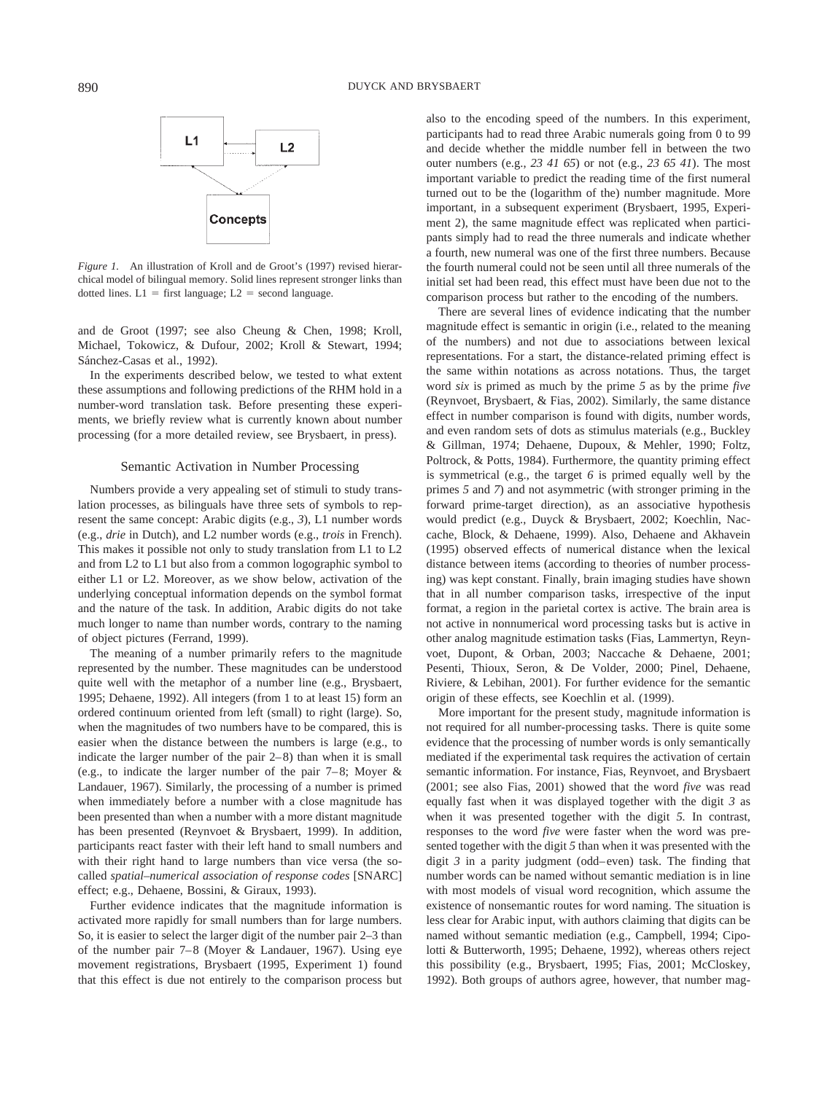

*Figure 1.* An illustration of Kroll and de Groot's (1997) revised hierarchical model of bilingual memory. Solid lines represent stronger links than dotted lines.  $L1 =$  first language;  $L2 =$  second language.

and de Groot (1997; see also Cheung & Chen, 1998; Kroll, Michael, Tokowicz, & Dufour, 2002; Kroll & Stewart, 1994; Sánchez-Casas et al., 1992).

In the experiments described below, we tested to what extent these assumptions and following predictions of the RHM hold in a number-word translation task. Before presenting these experiments, we briefly review what is currently known about number processing (for a more detailed review, see Brysbaert, in press).

#### Semantic Activation in Number Processing

Numbers provide a very appealing set of stimuli to study translation processes, as bilinguals have three sets of symbols to represent the same concept: Arabic digits (e.g., *3*), L1 number words (e.g., *drie* in Dutch), and L2 number words (e.g., *trois* in French). This makes it possible not only to study translation from L1 to L2 and from L2 to L1 but also from a common logographic symbol to either L1 or L2. Moreover, as we show below, activation of the underlying conceptual information depends on the symbol format and the nature of the task. In addition, Arabic digits do not take much longer to name than number words, contrary to the naming of object pictures (Ferrand, 1999).

The meaning of a number primarily refers to the magnitude represented by the number. These magnitudes can be understood quite well with the metaphor of a number line (e.g., Brysbaert, 1995; Dehaene, 1992). All integers (from 1 to at least 15) form an ordered continuum oriented from left (small) to right (large). So, when the magnitudes of two numbers have to be compared, this is easier when the distance between the numbers is large (e.g., to indicate the larger number of the pair 2–8) than when it is small (e.g., to indicate the larger number of the pair 7–8; Moyer & Landauer, 1967). Similarly, the processing of a number is primed when immediately before a number with a close magnitude has been presented than when a number with a more distant magnitude has been presented (Reynvoet & Brysbaert, 1999). In addition, participants react faster with their left hand to small numbers and with their right hand to large numbers than vice versa (the socalled *spatial–numerical association of response codes* [SNARC] effect; e.g., Dehaene, Bossini, & Giraux, 1993).

Further evidence indicates that the magnitude information is activated more rapidly for small numbers than for large numbers. So, it is easier to select the larger digit of the number pair 2–3 than of the number pair 7–8 (Moyer & Landauer, 1967). Using eye movement registrations, Brysbaert (1995, Experiment 1) found that this effect is due not entirely to the comparison process but also to the encoding speed of the numbers. In this experiment, participants had to read three Arabic numerals going from 0 to 99 and decide whether the middle number fell in between the two outer numbers (e.g., *23 41 65*) or not (e.g., *23 65 41*). The most important variable to predict the reading time of the first numeral turned out to be the (logarithm of the) number magnitude. More important, in a subsequent experiment (Brysbaert, 1995, Experiment 2), the same magnitude effect was replicated when participants simply had to read the three numerals and indicate whether a fourth, new numeral was one of the first three numbers. Because the fourth numeral could not be seen until all three numerals of the initial set had been read, this effect must have been due not to the comparison process but rather to the encoding of the numbers.

There are several lines of evidence indicating that the number magnitude effect is semantic in origin (i.e., related to the meaning of the numbers) and not due to associations between lexical representations. For a start, the distance-related priming effect is the same within notations as across notations. Thus, the target word *six* is primed as much by the prime *5* as by the prime *five* (Reynvoet, Brysbaert, & Fias, 2002). Similarly, the same distance effect in number comparison is found with digits, number words, and even random sets of dots as stimulus materials (e.g., Buckley & Gillman, 1974; Dehaene, Dupoux, & Mehler, 1990; Foltz, Poltrock, & Potts, 1984). Furthermore, the quantity priming effect is symmetrical (e.g., the target *6* is primed equally well by the primes *5* and *7*) and not asymmetric (with stronger priming in the forward prime-target direction), as an associative hypothesis would predict (e.g., Duyck & Brysbaert, 2002; Koechlin, Naccache, Block, & Dehaene, 1999). Also, Dehaene and Akhavein (1995) observed effects of numerical distance when the lexical distance between items (according to theories of number processing) was kept constant. Finally, brain imaging studies have shown that in all number comparison tasks, irrespective of the input format, a region in the parietal cortex is active. The brain area is not active in nonnumerical word processing tasks but is active in other analog magnitude estimation tasks (Fias, Lammertyn, Reynvoet, Dupont, & Orban, 2003; Naccache & Dehaene, 2001; Pesenti, Thioux, Seron, & De Volder, 2000; Pinel, Dehaene, Riviere, & Lebihan, 2001). For further evidence for the semantic origin of these effects, see Koechlin et al. (1999).

More important for the present study, magnitude information is not required for all number-processing tasks. There is quite some evidence that the processing of number words is only semantically mediated if the experimental task requires the activation of certain semantic information. For instance, Fias, Reynvoet, and Brysbaert (2001; see also Fias, 2001) showed that the word *five* was read equally fast when it was displayed together with the digit *3* as when it was presented together with the digit *5.* In contrast, responses to the word *five* were faster when the word was presented together with the digit *5* than when it was presented with the digit *3* in a parity judgment (odd–even) task. The finding that number words can be named without semantic mediation is in line with most models of visual word recognition, which assume the existence of nonsemantic routes for word naming. The situation is less clear for Arabic input, with authors claiming that digits can be named without semantic mediation (e.g., Campbell, 1994; Cipolotti & Butterworth, 1995; Dehaene, 1992), whereas others reject this possibility (e.g., Brysbaert, 1995; Fias, 2001; McCloskey, 1992). Both groups of authors agree, however, that number mag-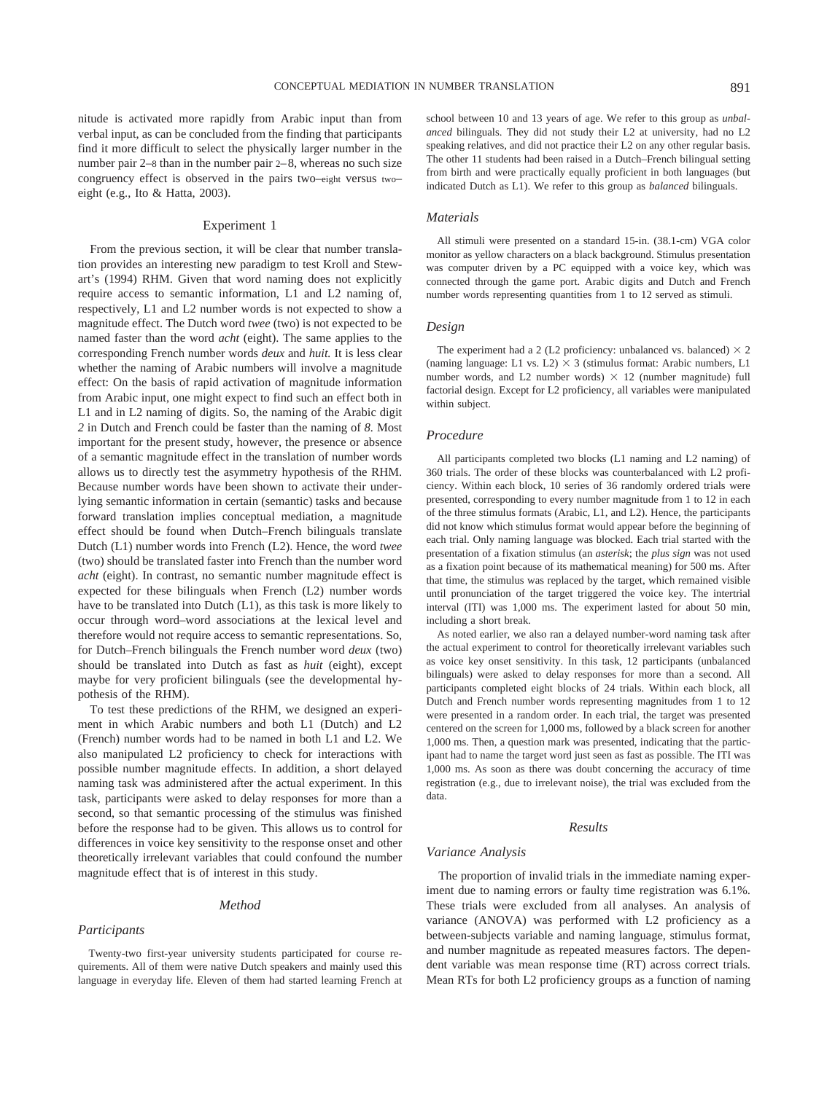nitude is activated more rapidly from Arabic input than from verbal input, as can be concluded from the finding that participants find it more difficult to select the physically larger number in the number pair 2–8 than in the number pair 2–8, whereas no such size congruency effect is observed in the pairs two–eight versus two– eight (e.g., Ito & Hatta, 2003).

## Experiment 1

From the previous section, it will be clear that number translation provides an interesting new paradigm to test Kroll and Stewart's (1994) RHM. Given that word naming does not explicitly require access to semantic information, L1 and L2 naming of, respectively, L1 and L2 number words is not expected to show a magnitude effect. The Dutch word *twee* (two) is not expected to be named faster than the word *acht* (eight). The same applies to the corresponding French number words *deux* and *huit.* It is less clear whether the naming of Arabic numbers will involve a magnitude effect: On the basis of rapid activation of magnitude information from Arabic input, one might expect to find such an effect both in L1 and in L2 naming of digits. So, the naming of the Arabic digit *2* in Dutch and French could be faster than the naming of *8.* Most important for the present study, however, the presence or absence of a semantic magnitude effect in the translation of number words allows us to directly test the asymmetry hypothesis of the RHM. Because number words have been shown to activate their underlying semantic information in certain (semantic) tasks and because forward translation implies conceptual mediation, a magnitude effect should be found when Dutch–French bilinguals translate Dutch (L1) number words into French (L2). Hence, the word *twee* (two) should be translated faster into French than the number word *acht* (eight). In contrast, no semantic number magnitude effect is expected for these bilinguals when French (L2) number words have to be translated into Dutch (L1), as this task is more likely to occur through word–word associations at the lexical level and therefore would not require access to semantic representations. So, for Dutch–French bilinguals the French number word *deux* (two) should be translated into Dutch as fast as *huit* (eight), except maybe for very proficient bilinguals (see the developmental hypothesis of the RHM).

To test these predictions of the RHM, we designed an experiment in which Arabic numbers and both L1 (Dutch) and L2 (French) number words had to be named in both L1 and L2. We also manipulated L2 proficiency to check for interactions with possible number magnitude effects. In addition, a short delayed naming task was administered after the actual experiment. In this task, participants were asked to delay responses for more than a second, so that semantic processing of the stimulus was finished before the response had to be given. This allows us to control for differences in voice key sensitivity to the response onset and other theoretically irrelevant variables that could confound the number magnitude effect that is of interest in this study.

#### *Method*

## *Participants*

Twenty-two first-year university students participated for course requirements. All of them were native Dutch speakers and mainly used this language in everyday life. Eleven of them had started learning French at school between 10 and 13 years of age. We refer to this group as *unbalanced* bilinguals. They did not study their L2 at university, had no L2 speaking relatives, and did not practice their L2 on any other regular basis. The other 11 students had been raised in a Dutch–French bilingual setting from birth and were practically equally proficient in both languages (but indicated Dutch as L1). We refer to this group as *balanced* bilinguals.

#### *Materials*

All stimuli were presented on a standard 15-in. (38.1-cm) VGA color monitor as yellow characters on a black background. Stimulus presentation was computer driven by a PC equipped with a voice key, which was connected through the game port. Arabic digits and Dutch and French number words representing quantities from 1 to 12 served as stimuli.

#### *Design*

The experiment had a 2 (L2 proficiency: unbalanced vs. balanced)  $\times$  2 (naming language: L1 vs. L2)  $\times$  3 (stimulus format: Arabic numbers, L1 number words, and L2 number words)  $\times$  12 (number magnitude) full factorial design. Except for L2 proficiency, all variables were manipulated within subject.

## *Procedure*

All participants completed two blocks (L1 naming and L2 naming) of 360 trials. The order of these blocks was counterbalanced with L2 proficiency. Within each block, 10 series of 36 randomly ordered trials were presented, corresponding to every number magnitude from 1 to 12 in each of the three stimulus formats (Arabic, L1, and L2). Hence, the participants did not know which stimulus format would appear before the beginning of each trial. Only naming language was blocked. Each trial started with the presentation of a fixation stimulus (an *asterisk*; the *plus sign* was not used as a fixation point because of its mathematical meaning) for 500 ms. After that time, the stimulus was replaced by the target, which remained visible until pronunciation of the target triggered the voice key. The intertrial interval (ITI) was 1,000 ms. The experiment lasted for about 50 min, including a short break.

As noted earlier, we also ran a delayed number-word naming task after the actual experiment to control for theoretically irrelevant variables such as voice key onset sensitivity. In this task, 12 participants (unbalanced bilinguals) were asked to delay responses for more than a second. All participants completed eight blocks of 24 trials. Within each block, all Dutch and French number words representing magnitudes from 1 to 12 were presented in a random order. In each trial, the target was presented centered on the screen for 1,000 ms, followed by a black screen for another 1,000 ms. Then, a question mark was presented, indicating that the participant had to name the target word just seen as fast as possible. The ITI was 1,000 ms. As soon as there was doubt concerning the accuracy of time registration (e.g., due to irrelevant noise), the trial was excluded from the data.

#### *Results*

## *Variance Analysis*

The proportion of invalid trials in the immediate naming experiment due to naming errors or faulty time registration was 6.1%. These trials were excluded from all analyses. An analysis of variance (ANOVA) was performed with L2 proficiency as a between-subjects variable and naming language, stimulus format, and number magnitude as repeated measures factors. The dependent variable was mean response time (RT) across correct trials. Mean RTs for both L2 proficiency groups as a function of naming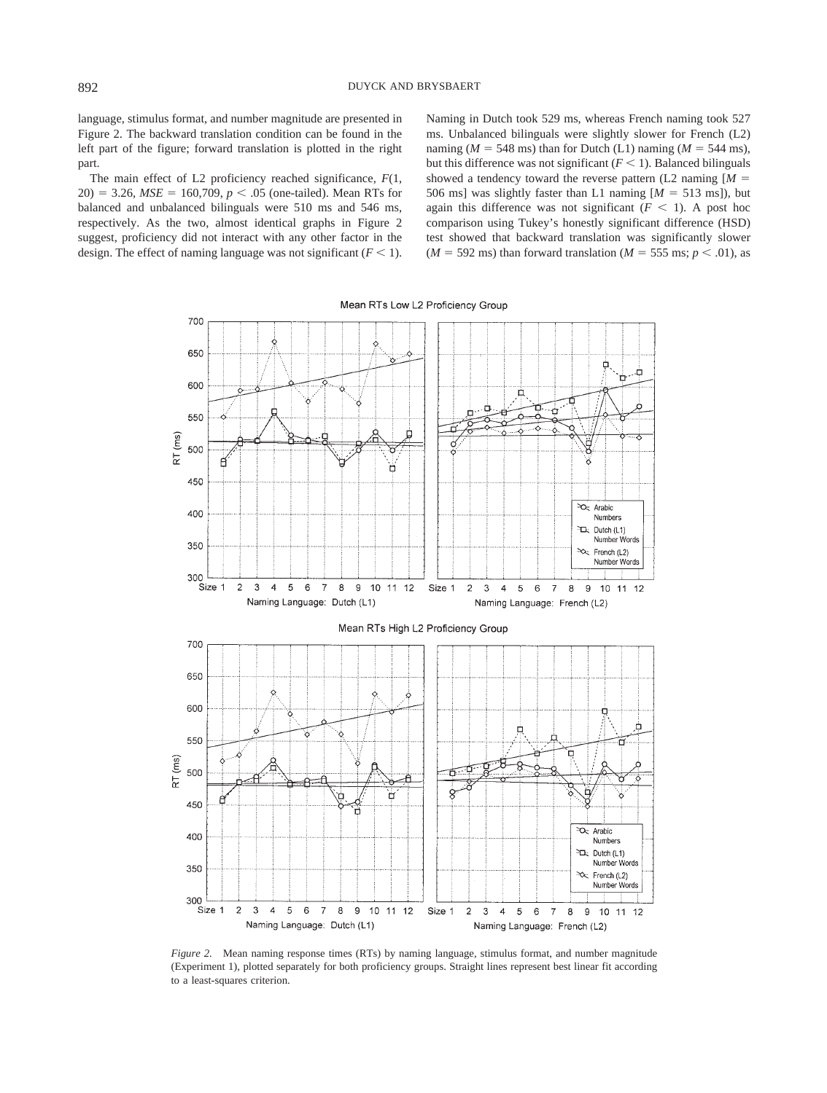language, stimulus format, and number magnitude are presented in Figure 2. The backward translation condition can be found in the left part of the figure; forward translation is plotted in the right part.

The main effect of L2 proficiency reached significance, *F*(1,  $20$ ) = 3.26,  $MSE = 160,709$ ,  $p < .05$  (one-tailed). Mean RTs for balanced and unbalanced bilinguals were 510 ms and 546 ms, respectively. As the two, almost identical graphs in Figure 2 suggest, proficiency did not interact with any other factor in the design. The effect of naming language was not significant  $(F < 1)$ . Naming in Dutch took 529 ms, whereas French naming took 527 ms. Unbalanced bilinguals were slightly slower for French (L2) naming ( $M = 548$  ms) than for Dutch (L1) naming ( $M = 544$  ms), but this difference was not significant  $(F < 1)$ . Balanced bilinguals showed a tendency toward the reverse pattern  $(L2 \text{ naming } [M =$ 506 ms] was slightly faster than L1 naming  $[M = 513 \text{ ms}]$ ), but again this difference was not significant  $(F \leq 1)$ . A post hoc comparison using Tukey's honestly significant difference (HSD) test showed that backward translation was significantly slower  $(M = 592 \text{ ms})$  than forward translation  $(M = 555 \text{ ms}; p < .01)$ , as



*Figure 2.* Mean naming response times (RTs) by naming language, stimulus format, and number magnitude (Experiment 1), plotted separately for both proficiency groups. Straight lines represent best linear fit according to a least-squares criterion.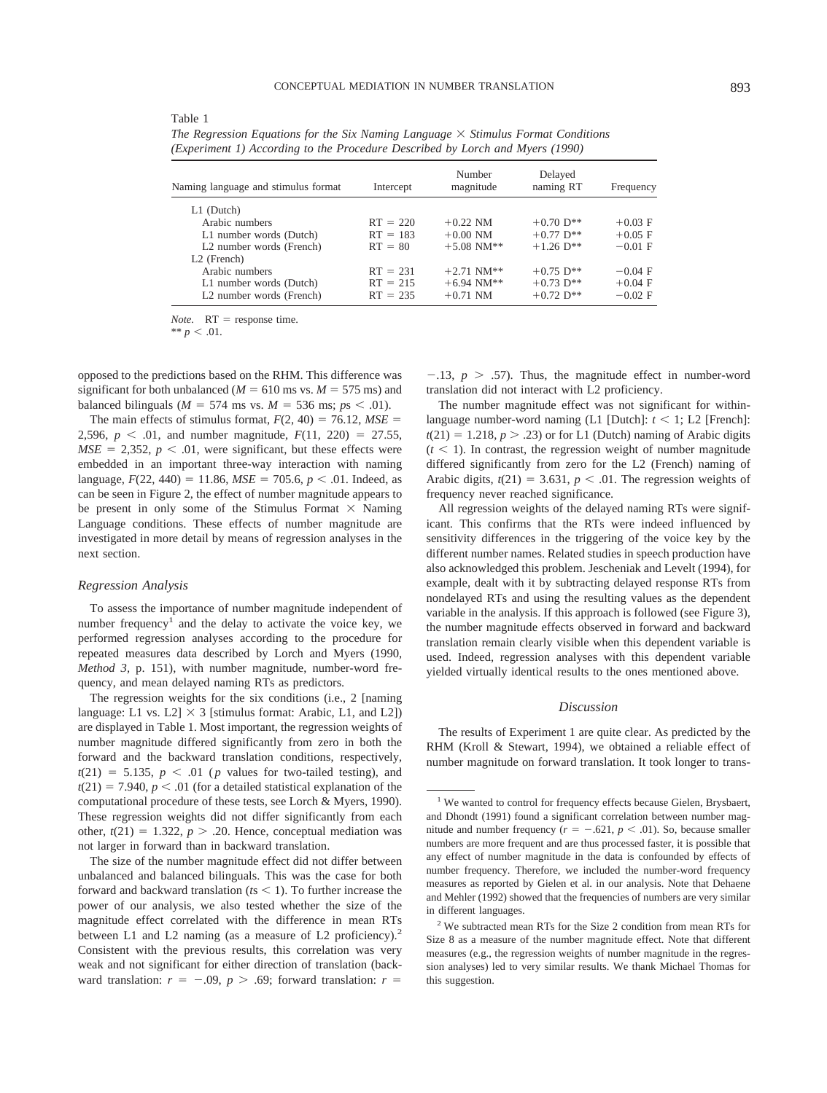| ×<br>۰,<br>٠ |  |
|--------------|--|
|--------------|--|

The Regression Equations for the Six Naming Language  $\times$  Stimulus Format Conditions *(Experiment 1) According to the Procedure Described by Lorch and Myers (1990)*

| Naming language and stimulus format  | Intercept  | Number<br>magnitude | Delayed<br>naming RT    | Frequency         |
|--------------------------------------|------------|---------------------|-------------------------|-------------------|
| $L1$ (Dutch)                         |            |                     |                         |                   |
| Arabic numbers                       | $RT = 220$ | $+0.22$ NM          | $+0.70$ D <sup>**</sup> | $+0.03 \text{ F}$ |
| L1 number words (Dutch)              | $RT = 183$ | $+0.00$ NM          | $+0.77$ D**             | $+0.05$ F         |
| L <sub>2</sub> number words (French) | $RT = 80$  | $+5.08$ NM**        | $+1.26$ D**             | $-0.01$ F         |
| L <sub>2</sub> (French)              |            |                     |                         |                   |
| Arabic numbers                       | $RT = 231$ | $+2.71$ NM**        | $+0.75$ D <sup>**</sup> | $-0.04$ F         |
| L1 number words (Dutch)              | $RT = 215$ | $+6.94$ NM**        | $+0.73$ D**             | $+0.04$ F         |
| L <sub>2</sub> number words (French) | $RT = 235$ | $+0.71$ NM          | $+0.72$ D**             | $-0.02$ F         |
|                                      |            |                     |                         |                   |

*Note.*  $RT =$  response time.

\*\*  $p < .01$ .

opposed to the predictions based on the RHM. This difference was significant for both unbalanced ( $M = 610$  ms vs.  $M = 575$  ms) and balanced bilinguals ( $M = 574$  ms vs.  $M = 536$  ms;  $ps < .01$ ).

The main effects of stimulus format,  $F(2, 40) = 76.12$ ,  $MSE =$ 2,596,  $p < .01$ , and number magnitude,  $F(11, 220) = 27.55$ ,  $MSE = 2,352$ ,  $p < .01$ , were significant, but these effects were embedded in an important three-way interaction with naming language,  $F(22, 440) = 11.86$ ,  $MSE = 705.6$ ,  $p < .01$ . Indeed, as can be seen in Figure 2, the effect of number magnitude appears to be present in only some of the Stimulus Format  $\times$  Naming Language conditions. These effects of number magnitude are investigated in more detail by means of regression analyses in the next section.

#### *Regression Analysis*

To assess the importance of number magnitude independent of number frequency<sup>1</sup> and the delay to activate the voice key, we performed regression analyses according to the procedure for repeated measures data described by Lorch and Myers (1990, *Method 3,* p. 151), with number magnitude, number-word frequency, and mean delayed naming RTs as predictors.

The regression weights for the six conditions (i.e., 2 [naming language: L1 vs.  $L2 \times 3$  [stimulus format: Arabic, L1, and L2]) are displayed in Table 1. Most important, the regression weights of number magnitude differed significantly from zero in both the forward and the backward translation conditions, respectively,  $t(21) = 5.135$ ,  $p < .01$  (*p* values for two-tailed testing), and  $t(21) = 7.940$ ,  $p < .01$  (for a detailed statistical explanation of the computational procedure of these tests, see Lorch & Myers, 1990). These regression weights did not differ significantly from each other,  $t(21) = 1.322$ ,  $p > .20$ . Hence, conceptual mediation was not larger in forward than in backward translation.

The size of the number magnitude effect did not differ between unbalanced and balanced bilinguals. This was the case for both forward and backward translation ( $t$ s  $\leq$  1). To further increase the power of our analysis, we also tested whether the size of the magnitude effect correlated with the difference in mean RTs between L1 and L2 naming (as a measure of L2 proficiency).<sup>2</sup> Consistent with the previous results, this correlation was very weak and not significant for either direction of translation (backward translation:  $r = -.09$ ,  $p > .69$ ; forward translation:  $r =$ 

 $-13$ ,  $p > .57$ ). Thus, the magnitude effect in number-word translation did not interact with L2 proficiency.

The number magnitude effect was not significant for withinlanguage number-word naming  $(L1$  [Dutch]:  $t < 1$ ; L2 [French]:  $t(21) = 1.218$ ,  $p > .23$ ) or for L1 (Dutch) naming of Arabic digits  $(t < 1)$ . In contrast, the regression weight of number magnitude differed significantly from zero for the L2 (French) naming of Arabic digits,  $t(21) = 3.631$ ,  $p < .01$ . The regression weights of frequency never reached significance.

All regression weights of the delayed naming RTs were significant. This confirms that the RTs were indeed influenced by sensitivity differences in the triggering of the voice key by the different number names. Related studies in speech production have also acknowledged this problem. Jescheniak and Levelt (1994), for example, dealt with it by subtracting delayed response RTs from nondelayed RTs and using the resulting values as the dependent variable in the analysis. If this approach is followed (see Figure 3), the number magnitude effects observed in forward and backward translation remain clearly visible when this dependent variable is used. Indeed, regression analyses with this dependent variable yielded virtually identical results to the ones mentioned above.

## *Discussion*

The results of Experiment 1 are quite clear. As predicted by the RHM (Kroll & Stewart, 1994), we obtained a reliable effect of number magnitude on forward translation. It took longer to trans-

<sup>&</sup>lt;sup>1</sup> We wanted to control for frequency effects because Gielen, Brysbaert, and Dhondt (1991) found a significant correlation between number magnitude and number frequency ( $r = -.621$ ,  $p < .01$ ). So, because smaller numbers are more frequent and are thus processed faster, it is possible that any effect of number magnitude in the data is confounded by effects of number frequency. Therefore, we included the number-word frequency measures as reported by Gielen et al. in our analysis. Note that Dehaene and Mehler (1992) showed that the frequencies of numbers are very similar in different languages.

<sup>2</sup> We subtracted mean RTs for the Size 2 condition from mean RTs for Size 8 as a measure of the number magnitude effect. Note that different measures (e.g., the regression weights of number magnitude in the regression analyses) led to very similar results. We thank Michael Thomas for this suggestion.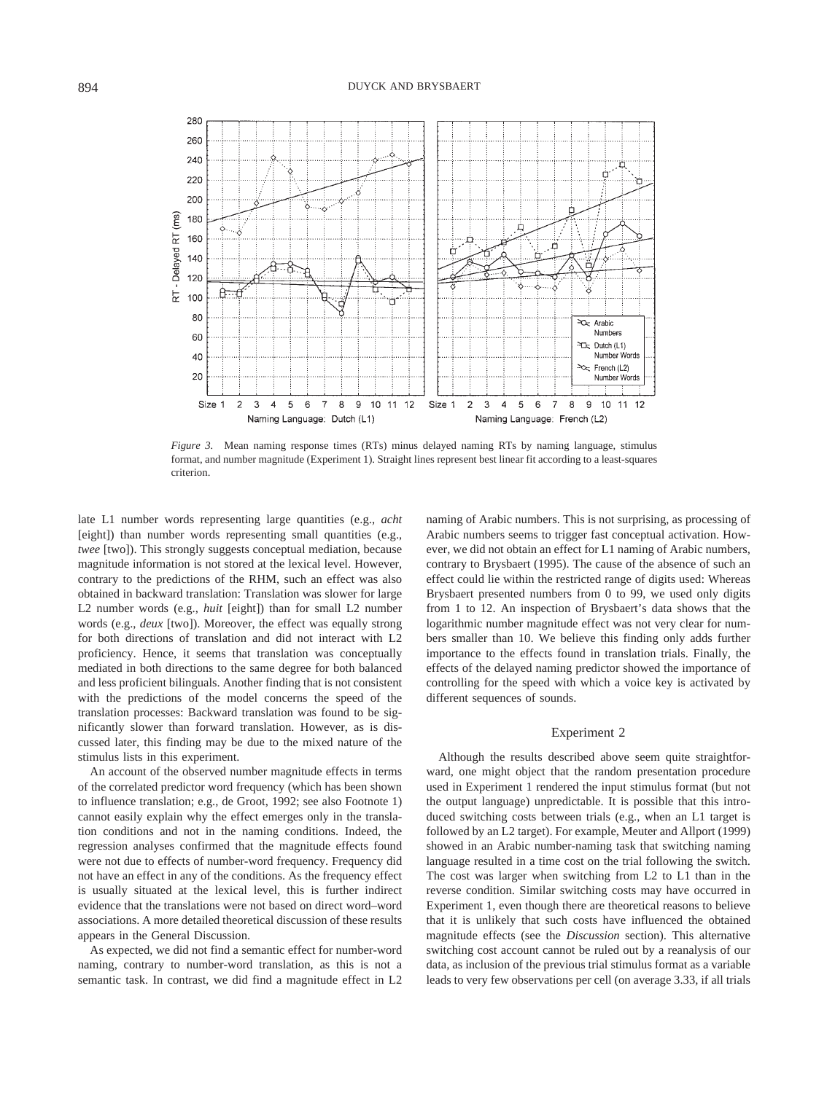

*Figure 3.* Mean naming response times (RTs) minus delayed naming RTs by naming language, stimulus format, and number magnitude (Experiment 1). Straight lines represent best linear fit according to a least-squares criterion.

late L1 number words representing large quantities (e.g., *acht* [eight]) than number words representing small quantities (e.g., *twee* [two]). This strongly suggests conceptual mediation, because magnitude information is not stored at the lexical level. However, contrary to the predictions of the RHM, such an effect was also obtained in backward translation: Translation was slower for large L2 number words (e.g., *huit* [eight]) than for small L2 number words (e.g., *deux* [two]). Moreover, the effect was equally strong for both directions of translation and did not interact with L2 proficiency. Hence, it seems that translation was conceptually mediated in both directions to the same degree for both balanced and less proficient bilinguals. Another finding that is not consistent with the predictions of the model concerns the speed of the translation processes: Backward translation was found to be significantly slower than forward translation. However, as is discussed later, this finding may be due to the mixed nature of the stimulus lists in this experiment.

An account of the observed number magnitude effects in terms of the correlated predictor word frequency (which has been shown to influence translation; e.g., de Groot, 1992; see also Footnote 1) cannot easily explain why the effect emerges only in the translation conditions and not in the naming conditions. Indeed, the regression analyses confirmed that the magnitude effects found were not due to effects of number-word frequency. Frequency did not have an effect in any of the conditions. As the frequency effect is usually situated at the lexical level, this is further indirect evidence that the translations were not based on direct word–word associations. A more detailed theoretical discussion of these results appears in the General Discussion.

As expected, we did not find a semantic effect for number-word naming, contrary to number-word translation, as this is not a semantic task. In contrast, we did find a magnitude effect in L2

naming of Arabic numbers. This is not surprising, as processing of Arabic numbers seems to trigger fast conceptual activation. However, we did not obtain an effect for L1 naming of Arabic numbers, contrary to Brysbaert (1995). The cause of the absence of such an effect could lie within the restricted range of digits used: Whereas Brysbaert presented numbers from 0 to 99, we used only digits from 1 to 12. An inspection of Brysbaert's data shows that the logarithmic number magnitude effect was not very clear for numbers smaller than 10. We believe this finding only adds further importance to the effects found in translation trials. Finally, the effects of the delayed naming predictor showed the importance of controlling for the speed with which a voice key is activated by different sequences of sounds.

# Experiment 2

Although the results described above seem quite straightforward, one might object that the random presentation procedure used in Experiment 1 rendered the input stimulus format (but not the output language) unpredictable. It is possible that this introduced switching costs between trials (e.g., when an L1 target is followed by an L2 target). For example, Meuter and Allport (1999) showed in an Arabic number-naming task that switching naming language resulted in a time cost on the trial following the switch. The cost was larger when switching from L2 to L1 than in the reverse condition. Similar switching costs may have occurred in Experiment 1, even though there are theoretical reasons to believe that it is unlikely that such costs have influenced the obtained magnitude effects (see the *Discussion* section). This alternative switching cost account cannot be ruled out by a reanalysis of our data, as inclusion of the previous trial stimulus format as a variable leads to very few observations per cell (on average 3.33, if all trials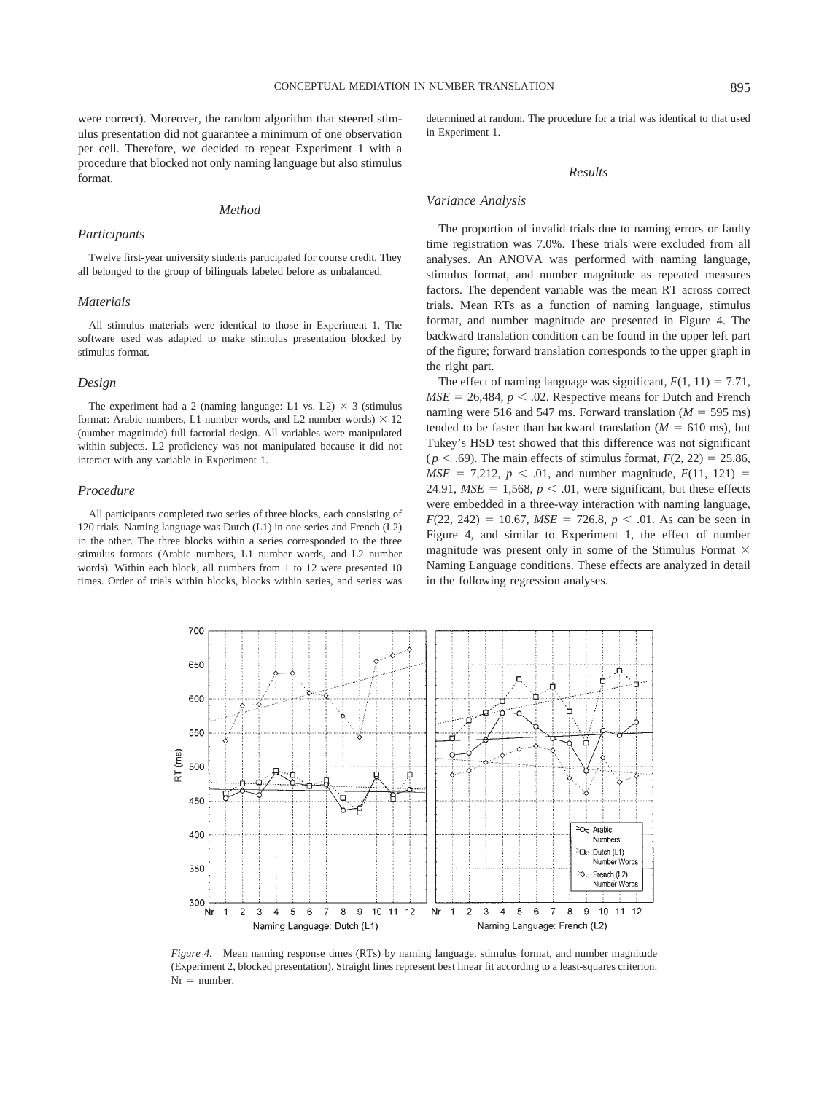were correct). Moreover, the random algorithm that steered stimulus presentation did not guarantee a minimum of one observation per cell. Therefore, we decided to repeat Experiment 1 with a procedure that blocked not only naming language but also stimulus format.

## *Method*

## *Participants*

Twelve first-year university students participated for course credit. They all belonged to the group of bilinguals labeled before as unbalanced.

## *Materials*

All stimulus materials were identical to those in Experiment 1. The software used was adapted to make stimulus presentation blocked by stimulus format.

## *Design*

The experiment had a 2 (naming language: L1 vs. L2)  $\times$  3 (stimulus format: Arabic numbers, L1 number words, and L2 number words)  $\times$  12 (number magnitude) full factorial design. All variables were manipulated within subjects. L2 proficiency was not manipulated because it did not interact with any variable in Experiment 1.

#### *Procedure*

All participants completed two series of three blocks, each consisting of 120 trials. Naming language was Dutch (L1) in one series and French (L2) in the other. The three blocks within a series corresponded to the three stimulus formats (Arabic numbers, L1 number words, and L2 number words). Within each block, all numbers from 1 to 12 were presented 10 times. Order of trials within blocks, blocks within series, and series was

700

650

determined at random. The procedure for a trial was identical to that used in Experiment 1.

#### *Results*

## *Variance Analysis*

The proportion of invalid trials due to naming errors or faulty time registration was 7.0%. These trials were excluded from all analyses. An ANOVA was performed with naming language, stimulus format, and number magnitude as repeated measures factors. The dependent variable was the mean RT across correct trials. Mean RTs as a function of naming language, stimulus format, and number magnitude are presented in Figure 4. The backward translation condition can be found in the upper left part of the figure; forward translation corresponds to the upper graph in the right part.

The effect of naming language was significant,  $F(1, 11) = 7.71$ ,  $MSE = 26,484, p < .02$ . Respective means for Dutch and French naming were 516 and 547 ms. Forward translation  $(M = 595 \text{ ms})$ tended to be faster than backward translation ( $M = 610$  ms), but Tukey's HSD test showed that this difference was not significant  $(p < .69)$ . The main effects of stimulus format,  $F(2, 22) = 25.86$ ,  $MSE = 7,212, p < .01$ , and number magnitude,  $F(11, 121) =$ 24.91,  $MSE = 1,568$ ,  $p < .01$ , were significant, but these effects were embedded in a three-way interaction with naming language,  $F(22, 242) = 10.67$ , *MSE* = 726.8, *p* < .01. As can be seen in Figure 4, and similar to Experiment 1, the effect of number magnitude was present only in some of the Stimulus Format  $\times$ Naming Language conditions. These effects are analyzed in detail in the following regression analyses.

ò



*Figure 4.* Mean naming response times (RTs) by naming language, stimulus format, and number magnitude (Experiment 2, blocked presentation). Straight lines represent best linear fit according to a least-squares criterion.  $Nr = number$ .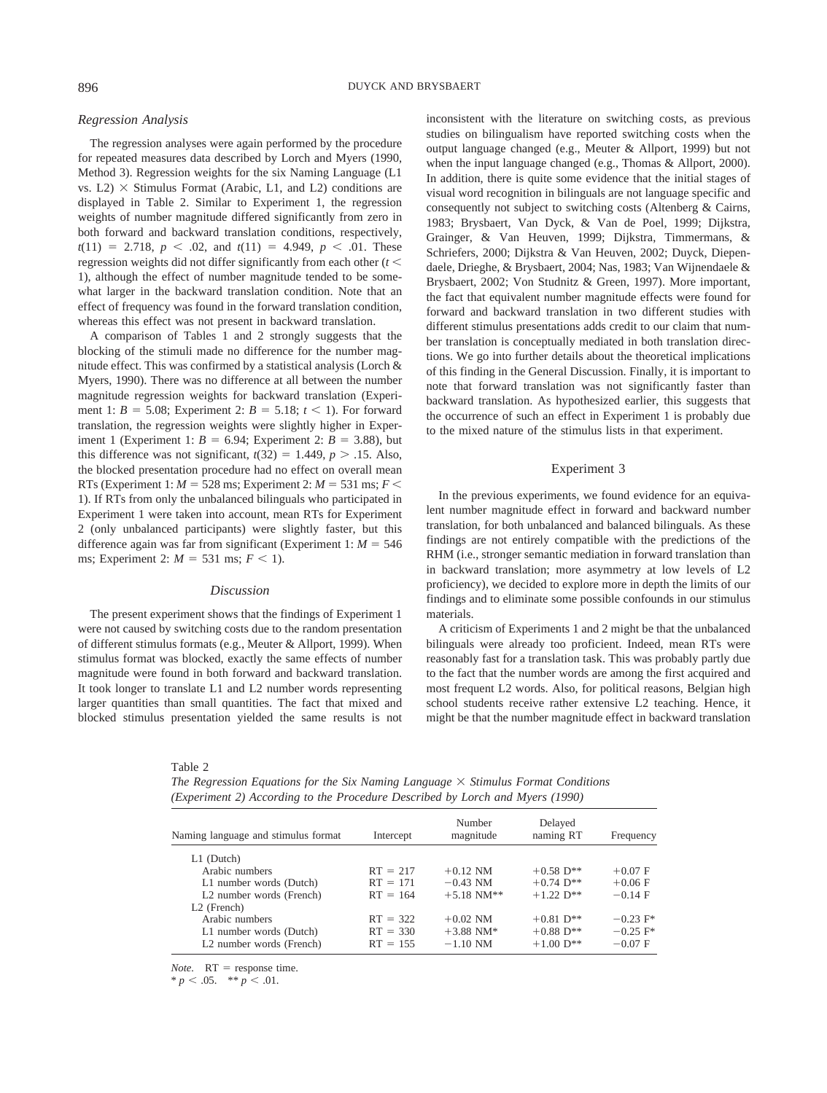## *Regression Analysis*

The regression analyses were again performed by the procedure for repeated measures data described by Lorch and Myers (1990, Method 3). Regression weights for the six Naming Language (L1 vs. L2)  $\times$  Stimulus Format (Arabic, L1, and L2) conditions are displayed in Table 2. Similar to Experiment 1, the regression weights of number magnitude differed significantly from zero in both forward and backward translation conditions, respectively,  $t(11) = 2.718$ ,  $p < .02$ , and  $t(11) = 4.949$ ,  $p < .01$ . These regression weights did not differ significantly from each other  $(t <$ 1), although the effect of number magnitude tended to be somewhat larger in the backward translation condition. Note that an effect of frequency was found in the forward translation condition, whereas this effect was not present in backward translation.

A comparison of Tables 1 and 2 strongly suggests that the blocking of the stimuli made no difference for the number magnitude effect. This was confirmed by a statistical analysis (Lorch & Myers, 1990). There was no difference at all between the number magnitude regression weights for backward translation (Experiment 1:  $B = 5.08$ ; Experiment 2:  $B = 5.18$ ;  $t < 1$ ). For forward translation, the regression weights were slightly higher in Experiment 1 (Experiment 1:  $B = 6.94$ ; Experiment 2:  $B = 3.88$ ), but this difference was not significant,  $t(32) = 1.449$ ,  $p > .15$ . Also, the blocked presentation procedure had no effect on overall mean RTs (Experiment 1:  $M = 528$  ms; Experiment 2:  $M = 531$  ms;  $F <$ 1). If RTs from only the unbalanced bilinguals who participated in Experiment 1 were taken into account, mean RTs for Experiment 2 (only unbalanced participants) were slightly faster, but this difference again was far from significant (Experiment 1:  $M = 546$ ms; Experiment 2:  $M = 531$  ms;  $F < 1$ ).

# *Discussion*

The present experiment shows that the findings of Experiment 1 were not caused by switching costs due to the random presentation of different stimulus formats (e.g., Meuter & Allport, 1999). When stimulus format was blocked, exactly the same effects of number magnitude were found in both forward and backward translation. It took longer to translate L1 and L2 number words representing larger quantities than small quantities. The fact that mixed and blocked stimulus presentation yielded the same results is not

Table 2

The Regression Equations for the Six Naming Language  $\times$  Stimulus Format Conditions *(Experiment 2) According to the Procedure Described by Lorch and Myers (1990)*

| $\sum_{i=1}^{n}$ and $\sum_{i=1}^{n}$ and $\sum_{i=1}^{n}$ are $\sum_{i=1}^{n}$ . The contract of $\sum_{i=1}^{n}$ and $\sum_{i=1}^{n}$ are $\sum_{i=1}^{n}$ |            |                     |                      |                        |
|--------------------------------------------------------------------------------------------------------------------------------------------------------------|------------|---------------------|----------------------|------------------------|
| Naming language and stimulus format                                                                                                                          | Intercept  | Number<br>magnitude | Delayed<br>naming RT | Frequency              |
| $L1$ (Dutch)                                                                                                                                                 |            |                     |                      |                        |
| Arabic numbers                                                                                                                                               | $RT = 217$ | $+0.12$ NM          | $+0.58$ D**          | $+0.07$ F              |
| L1 number words (Dutch)                                                                                                                                      | $RT = 171$ | $-0.43$ NM          | $+0.74$ D**          | $+0.06$ F              |
| L <sub>2</sub> number words (French)                                                                                                                         | $RT = 164$ | $+5.18$ NM**        | $+1.22$ D**          | $-0.14$ F              |
| $L2$ (French)                                                                                                                                                |            |                     |                      |                        |
| Arabic numbers                                                                                                                                               | $RT = 322$ | $+0.02$ NM          | $+0.81$ D**          | $-0.23$ F <sup>*</sup> |
| L1 number words (Dutch)                                                                                                                                      | $RT = 330$ | $+3.88$ NM*         | $+0.88$ D**          | $-0.25$ F <sup>*</sup> |
| L <sub>2</sub> number words (French)                                                                                                                         | $RT = 155$ | $-1.10$ NM          | $+1.00 D**$          | $-0.07$ F              |
|                                                                                                                                                              |            |                     |                      |                        |

*Note.* RT = response time.

 $* p < .05.$  \*\*  $p < .01.$ 

inconsistent with the literature on switching costs, as previous studies on bilingualism have reported switching costs when the output language changed (e.g., Meuter & Allport, 1999) but not when the input language changed (e.g., Thomas & Allport, 2000). In addition, there is quite some evidence that the initial stages of visual word recognition in bilinguals are not language specific and consequently not subject to switching costs (Altenberg & Cairns, 1983; Brysbaert, Van Dyck, & Van de Poel, 1999; Dijkstra, Grainger, & Van Heuven, 1999; Dijkstra, Timmermans, & Schriefers, 2000; Dijkstra & Van Heuven, 2002; Duyck, Diependaele, Drieghe, & Brysbaert, 2004; Nas, 1983; Van Wijnendaele & Brysbaert, 2002; Von Studnitz & Green, 1997). More important, the fact that equivalent number magnitude effects were found for forward and backward translation in two different studies with different stimulus presentations adds credit to our claim that number translation is conceptually mediated in both translation directions. We go into further details about the theoretical implications of this finding in the General Discussion. Finally, it is important to note that forward translation was not significantly faster than backward translation. As hypothesized earlier, this suggests that the occurrence of such an effect in Experiment 1 is probably due to the mixed nature of the stimulus lists in that experiment.

#### Experiment 3

In the previous experiments, we found evidence for an equivalent number magnitude effect in forward and backward number translation, for both unbalanced and balanced bilinguals. As these findings are not entirely compatible with the predictions of the RHM (i.e., stronger semantic mediation in forward translation than in backward translation; more asymmetry at low levels of L2 proficiency), we decided to explore more in depth the limits of our findings and to eliminate some possible confounds in our stimulus materials.

A criticism of Experiments 1 and 2 might be that the unbalanced bilinguals were already too proficient. Indeed, mean RTs were reasonably fast for a translation task. This was probably partly due to the fact that the number words are among the first acquired and most frequent L2 words. Also, for political reasons, Belgian high school students receive rather extensive L2 teaching. Hence, it might be that the number magnitude effect in backward translation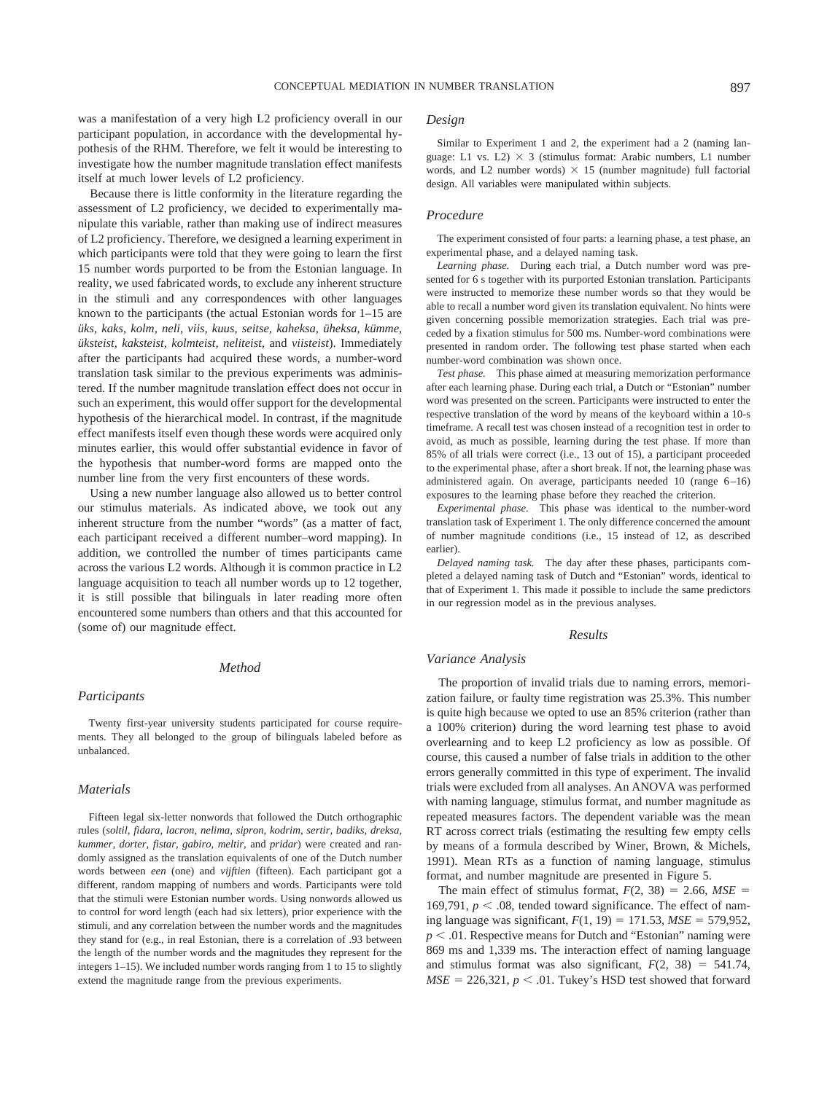was a manifestation of a very high L2 proficiency overall in our participant population, in accordance with the developmental hypothesis of the RHM. Therefore, we felt it would be interesting to investigate how the number magnitude translation effect manifests itself at much lower levels of L2 proficiency.

Because there is little conformity in the literature regarding the assessment of L2 proficiency, we decided to experimentally manipulate this variable, rather than making use of indirect measures of L2 proficiency. Therefore, we designed a learning experiment in which participants were told that they were going to learn the first 15 number words purported to be from the Estonian language. In reality, we used fabricated words, to exclude any inherent structure in the stimuli and any correspondences with other languages known to the participants (the actual Estonian words for 1–15 are *u¨ks, kaks, kolm, neli, viis, kuus, seitse, kaheksa, u¨heksa, ku¨mme, u¨ksteist, kaksteist, kolmteist, neliteist,* and *viisteist*). Immediately after the participants had acquired these words, a number-word translation task similar to the previous experiments was administered. If the number magnitude translation effect does not occur in such an experiment, this would offer support for the developmental hypothesis of the hierarchical model. In contrast, if the magnitude effect manifests itself even though these words were acquired only minutes earlier, this would offer substantial evidence in favor of the hypothesis that number-word forms are mapped onto the number line from the very first encounters of these words.

Using a new number language also allowed us to better control our stimulus materials. As indicated above, we took out any inherent structure from the number "words" (as a matter of fact, each participant received a different number–word mapping). In addition, we controlled the number of times participants came across the various L2 words. Although it is common practice in L2 language acquisition to teach all number words up to 12 together, it is still possible that bilinguals in later reading more often encountered some numbers than others and that this accounted for (some of) our magnitude effect.

## *Method*

## *Participants*

Twenty first-year university students participated for course requirements. They all belonged to the group of bilinguals labeled before as unbalanced.

## *Materials*

Fifteen legal six-letter nonwords that followed the Dutch orthographic rules (*soltil, fidara, lacron, nelima, sipron, kodrim, sertir, badiks, dreksa, kummer, dorter, fistar, gabiro, meltir,* and *pridar*) were created and randomly assigned as the translation equivalents of one of the Dutch number words between *een* (one) and *vijftien* (fifteen). Each participant got a different, random mapping of numbers and words. Participants were told that the stimuli were Estonian number words. Using nonwords allowed us to control for word length (each had six letters), prior experience with the stimuli, and any correlation between the number words and the magnitudes they stand for (e.g., in real Estonian, there is a correlation of .93 between the length of the number words and the magnitudes they represent for the integers 1–15). We included number words ranging from 1 to 15 to slightly extend the magnitude range from the previous experiments.

## *Design*

Similar to Experiment 1 and 2, the experiment had a 2 (naming language: L1 vs. L2)  $\times$  3 (stimulus format: Arabic numbers, L1 number words, and L2 number words)  $\times$  15 (number magnitude) full factorial design. All variables were manipulated within subjects.

#### *Procedure*

The experiment consisted of four parts: a learning phase, a test phase, an experimental phase, and a delayed naming task.

*Learning phase.* During each trial, a Dutch number word was presented for 6 s together with its purported Estonian translation. Participants were instructed to memorize these number words so that they would be able to recall a number word given its translation equivalent. No hints were given concerning possible memorization strategies. Each trial was preceded by a fixation stimulus for 500 ms. Number-word combinations were presented in random order. The following test phase started when each number-word combination was shown once.

*Test phase.* This phase aimed at measuring memorization performance after each learning phase. During each trial, a Dutch or "Estonian" number word was presented on the screen. Participants were instructed to enter the respective translation of the word by means of the keyboard within a 10-s timeframe. A recall test was chosen instead of a recognition test in order to avoid, as much as possible, learning during the test phase. If more than 85% of all trials were correct (i.e., 13 out of 15), a participant proceeded to the experimental phase, after a short break. If not, the learning phase was administered again. On average, participants needed 10 (range 6–16) exposures to the learning phase before they reached the criterion.

*Experimental phase.* This phase was identical to the number-word translation task of Experiment 1. The only difference concerned the amount of number magnitude conditions (i.e., 15 instead of 12, as described earlier).

*Delayed naming task.* The day after these phases, participants completed a delayed naming task of Dutch and "Estonian" words, identical to that of Experiment 1. This made it possible to include the same predictors in our regression model as in the previous analyses.

#### *Results*

#### *Variance Analysis*

The proportion of invalid trials due to naming errors, memorization failure, or faulty time registration was 25.3%. This number is quite high because we opted to use an 85% criterion (rather than a 100% criterion) during the word learning test phase to avoid overlearning and to keep L2 proficiency as low as possible. Of course, this caused a number of false trials in addition to the other errors generally committed in this type of experiment. The invalid trials were excluded from all analyses. An ANOVA was performed with naming language, stimulus format, and number magnitude as repeated measures factors. The dependent variable was the mean RT across correct trials (estimating the resulting few empty cells by means of a formula described by Winer, Brown, & Michels, 1991). Mean RTs as a function of naming language, stimulus format, and number magnitude are presented in Figure 5.

The main effect of stimulus format,  $F(2, 38) = 2.66$ ,  $MSE =$ 169,791,  $p < .08$ , tended toward significance. The effect of naming language was significant,  $F(1, 19) = 171.53$ ,  $MSE = 579.952$ ,  $p < .01$ . Respective means for Dutch and "Estonian" naming were 869 ms and 1,339 ms. The interaction effect of naming language and stimulus format was also significant,  $F(2, 38) = 541.74$ ,  $MSE = 226,321, p < .01$ . Tukey's HSD test showed that forward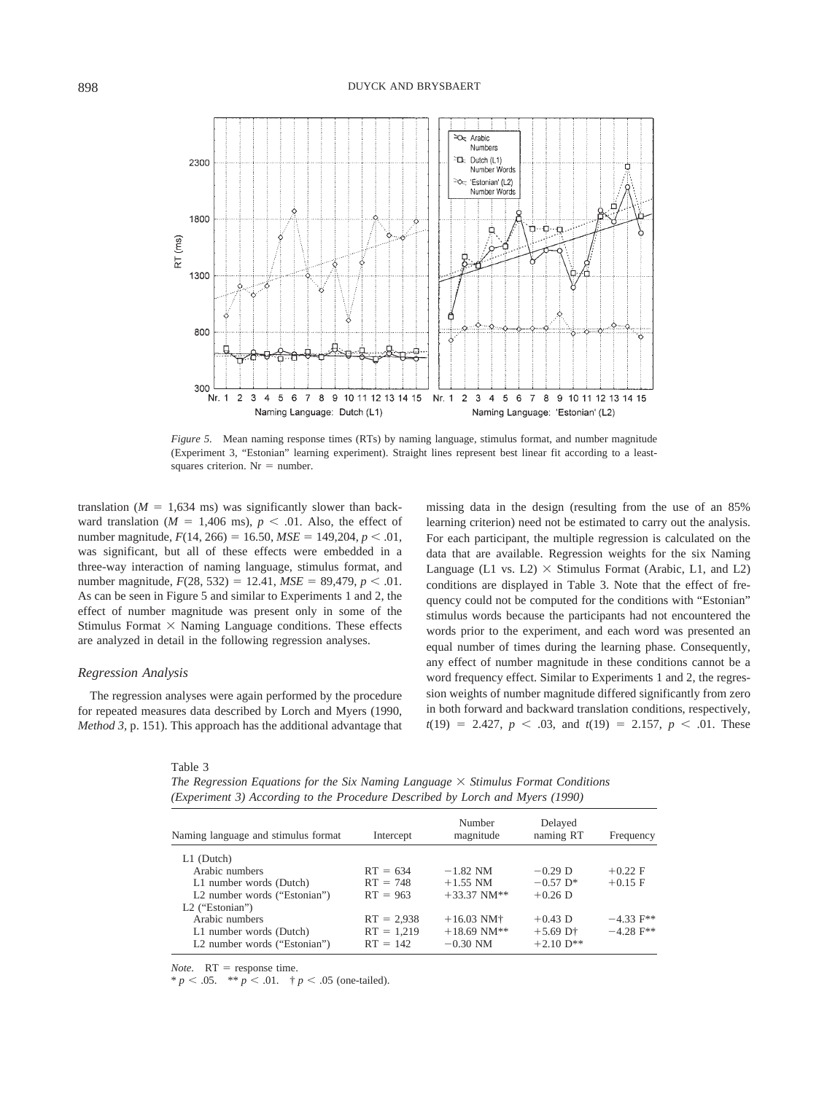

*Figure 5.* Mean naming response times (RTs) by naming language, stimulus format, and number magnitude (Experiment 3, "Estonian" learning experiment). Straight lines represent best linear fit according to a leastsquares criterion.  $Nr = number$ .

translation ( $M = 1,634$  ms) was significantly slower than backward translation ( $M = 1,406$  ms),  $p < .01$ . Also, the effect of number magnitude,  $F(14, 266) = 16.50$ ,  $MSE = 149,204$ ,  $p < .01$ , was significant, but all of these effects were embedded in a three-way interaction of naming language, stimulus format, and number magnitude,  $F(28, 532) = 12.41$ ,  $MSE = 89,479$ ,  $p < .01$ . As can be seen in Figure 5 and similar to Experiments 1 and 2, the effect of number magnitude was present only in some of the Stimulus Format  $\times$  Naming Language conditions. These effects are analyzed in detail in the following regression analyses.

#### *Regression Analysis*

The regression analyses were again performed by the procedure for repeated measures data described by Lorch and Myers (1990, *Method 3,* p. 151). This approach has the additional advantage that missing data in the design (resulting from the use of an 85% learning criterion) need not be estimated to carry out the analysis. For each participant, the multiple regression is calculated on the data that are available. Regression weights for the six Naming Language (L1 vs.  $L2$ )  $\times$  Stimulus Format (Arabic, L1, and L2) conditions are displayed in Table 3. Note that the effect of frequency could not be computed for the conditions with "Estonian" stimulus words because the participants had not encountered the words prior to the experiment, and each word was presented an equal number of times during the learning phase. Consequently, any effect of number magnitude in these conditions cannot be a word frequency effect. Similar to Experiments 1 and 2, the regression weights of number magnitude differed significantly from zero in both forward and backward translation conditions, respectively,  $t(19) = 2.427$ ,  $p < .03$ , and  $t(19) = 2.157$ ,  $p < .01$ . These

Table 3

The Regression Equations for the Six Naming Language  $\times$  Stimulus Format Conditions *(Experiment 3) According to the Procedure Described by Lorch and Myers (1990)*

| Naming language and stimulus format | Intercept    | Number<br>magnitude   | Delayed<br>naming RT   | Frequency         |
|-------------------------------------|--------------|-----------------------|------------------------|-------------------|
| $L1$ (Dutch)                        |              |                       |                        |                   |
| Arabic numbers                      | $RT = 634$   | $-1.82$ NM            | $-0.29$ D              | $+0.22 \text{ F}$ |
| L1 number words (Dutch)             | $RT = 748$   | $+1.55$ NM            | $-0.57$ D <sup>*</sup> | $+0.15$ F         |
| L2 number words ("Estonian")        | $RT = 963$   | $+33.37$ NM**         | $+0.26$ D              |                   |
| L <sub>2</sub> ("Estonian")         |              |                       |                        |                   |
| Arabic numbers                      | $RT = 2,938$ | $+16.03 \text{ NM}^+$ | $+0.43$ D              | $-4.33 F**$       |
| L1 number words (Dutch)             | $RT = 1.219$ | $+18.69$ NM**         | $+5.69$ D <sup>+</sup> | $-4.28$ F**       |
| L2 number words ("Estonian")        | $RT = 142$   | $-0.30$ NM            | $+2.10 \text{ D}$ **   |                   |

*Note.*  $RT$  = response time.

\*  $p < .05$ . \*\*  $p < .01$ . †  $p < .05$  (one-tailed).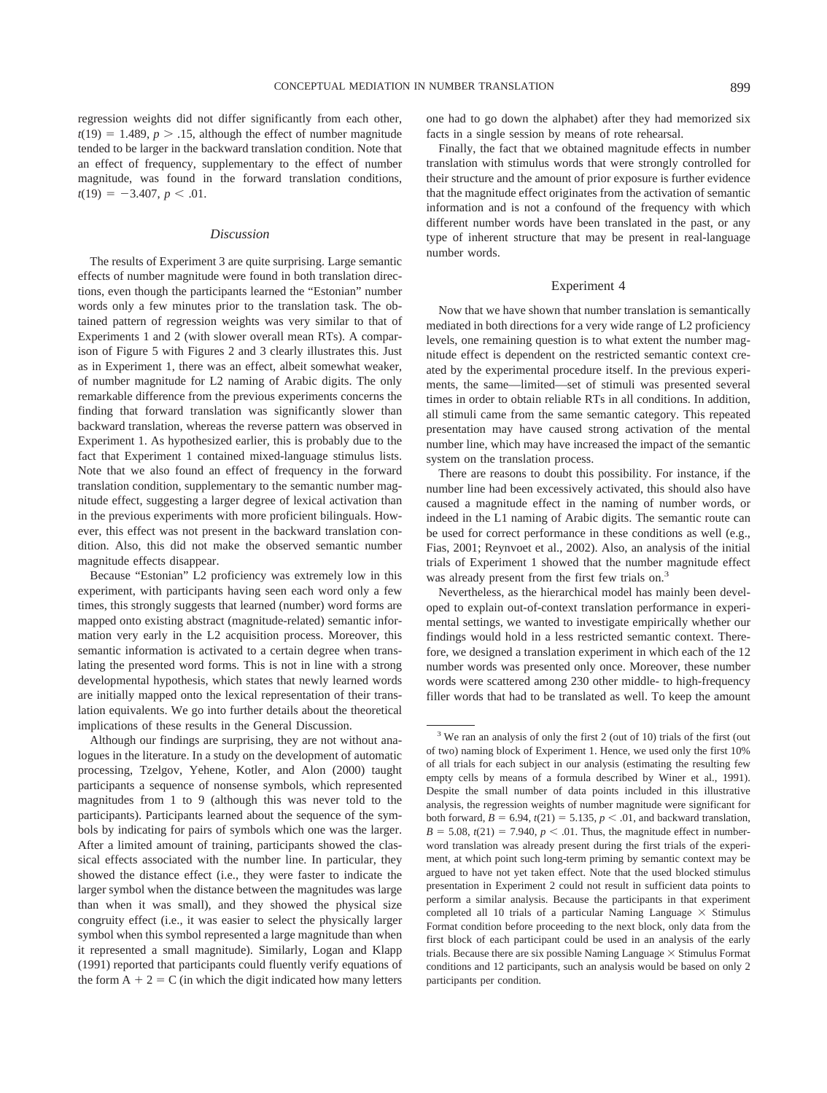regression weights did not differ significantly from each other,  $t(19) = 1.489$ ,  $p > .15$ , although the effect of number magnitude tended to be larger in the backward translation condition. Note that an effect of frequency, supplementary to the effect of number magnitude, was found in the forward translation conditions,  $t(19) = -3.407, p < .01.$ 

## *Discussion*

The results of Experiment 3 are quite surprising. Large semantic effects of number magnitude were found in both translation directions, even though the participants learned the "Estonian" number words only a few minutes prior to the translation task. The obtained pattern of regression weights was very similar to that of Experiments 1 and 2 (with slower overall mean RTs). A comparison of Figure 5 with Figures 2 and 3 clearly illustrates this. Just as in Experiment 1, there was an effect, albeit somewhat weaker, of number magnitude for L2 naming of Arabic digits. The only remarkable difference from the previous experiments concerns the finding that forward translation was significantly slower than backward translation, whereas the reverse pattern was observed in Experiment 1. As hypothesized earlier, this is probably due to the fact that Experiment 1 contained mixed-language stimulus lists. Note that we also found an effect of frequency in the forward translation condition, supplementary to the semantic number magnitude effect, suggesting a larger degree of lexical activation than in the previous experiments with more proficient bilinguals. However, this effect was not present in the backward translation condition. Also, this did not make the observed semantic number magnitude effects disappear.

Because "Estonian" L2 proficiency was extremely low in this experiment, with participants having seen each word only a few times, this strongly suggests that learned (number) word forms are mapped onto existing abstract (magnitude-related) semantic information very early in the L2 acquisition process. Moreover, this semantic information is activated to a certain degree when translating the presented word forms. This is not in line with a strong developmental hypothesis, which states that newly learned words are initially mapped onto the lexical representation of their translation equivalents. We go into further details about the theoretical implications of these results in the General Discussion.

Although our findings are surprising, they are not without analogues in the literature. In a study on the development of automatic processing, Tzelgov, Yehene, Kotler, and Alon (2000) taught participants a sequence of nonsense symbols, which represented magnitudes from 1 to 9 (although this was never told to the participants). Participants learned about the sequence of the symbols by indicating for pairs of symbols which one was the larger. After a limited amount of training, participants showed the classical effects associated with the number line. In particular, they showed the distance effect (i.e., they were faster to indicate the larger symbol when the distance between the magnitudes was large than when it was small), and they showed the physical size congruity effect (i.e., it was easier to select the physically larger symbol when this symbol represented a large magnitude than when it represented a small magnitude). Similarly, Logan and Klapp (1991) reported that participants could fluently verify equations of the form  $A + 2 = C$  (in which the digit indicated how many letters

one had to go down the alphabet) after they had memorized six facts in a single session by means of rote rehearsal.

Finally, the fact that we obtained magnitude effects in number translation with stimulus words that were strongly controlled for their structure and the amount of prior exposure is further evidence that the magnitude effect originates from the activation of semantic information and is not a confound of the frequency with which different number words have been translated in the past, or any type of inherent structure that may be present in real-language number words.

## Experiment 4

Now that we have shown that number translation is semantically mediated in both directions for a very wide range of L2 proficiency levels, one remaining question is to what extent the number magnitude effect is dependent on the restricted semantic context created by the experimental procedure itself. In the previous experiments, the same—limited—set of stimuli was presented several times in order to obtain reliable RTs in all conditions. In addition, all stimuli came from the same semantic category. This repeated presentation may have caused strong activation of the mental number line, which may have increased the impact of the semantic system on the translation process.

There are reasons to doubt this possibility. For instance, if the number line had been excessively activated, this should also have caused a magnitude effect in the naming of number words, or indeed in the L1 naming of Arabic digits. The semantic route can be used for correct performance in these conditions as well (e.g., Fias, 2001; Reynvoet et al., 2002). Also, an analysis of the initial trials of Experiment 1 showed that the number magnitude effect was already present from the first few trials on.<sup>3</sup>

Nevertheless, as the hierarchical model has mainly been developed to explain out-of-context translation performance in experimental settings, we wanted to investigate empirically whether our findings would hold in a less restricted semantic context. Therefore, we designed a translation experiment in which each of the 12 number words was presented only once. Moreover, these number words were scattered among 230 other middle- to high-frequency filler words that had to be translated as well. To keep the amount

<sup>3</sup> We ran an analysis of only the first 2 (out of 10) trials of the first (out of two) naming block of Experiment 1. Hence, we used only the first 10% of all trials for each subject in our analysis (estimating the resulting few empty cells by means of a formula described by Winer et al., 1991). Despite the small number of data points included in this illustrative analysis, the regression weights of number magnitude were significant for both forward,  $B = 6.94$ ,  $t(21) = 5.135$ ,  $p < .01$ , and backward translation,  $B = 5.08$ ,  $t(21) = 7.940$ ,  $p < .01$ . Thus, the magnitude effect in numberword translation was already present during the first trials of the experiment, at which point such long-term priming by semantic context may be argued to have not yet taken effect. Note that the used blocked stimulus presentation in Experiment 2 could not result in sufficient data points to perform a similar analysis. Because the participants in that experiment completed all 10 trials of a particular Naming Language  $\times$  Stimulus Format condition before proceeding to the next block, only data from the first block of each participant could be used in an analysis of the early trials. Because there are six possible Naming Language  $\times$  Stimulus Format conditions and 12 participants, such an analysis would be based on only 2 participants per condition.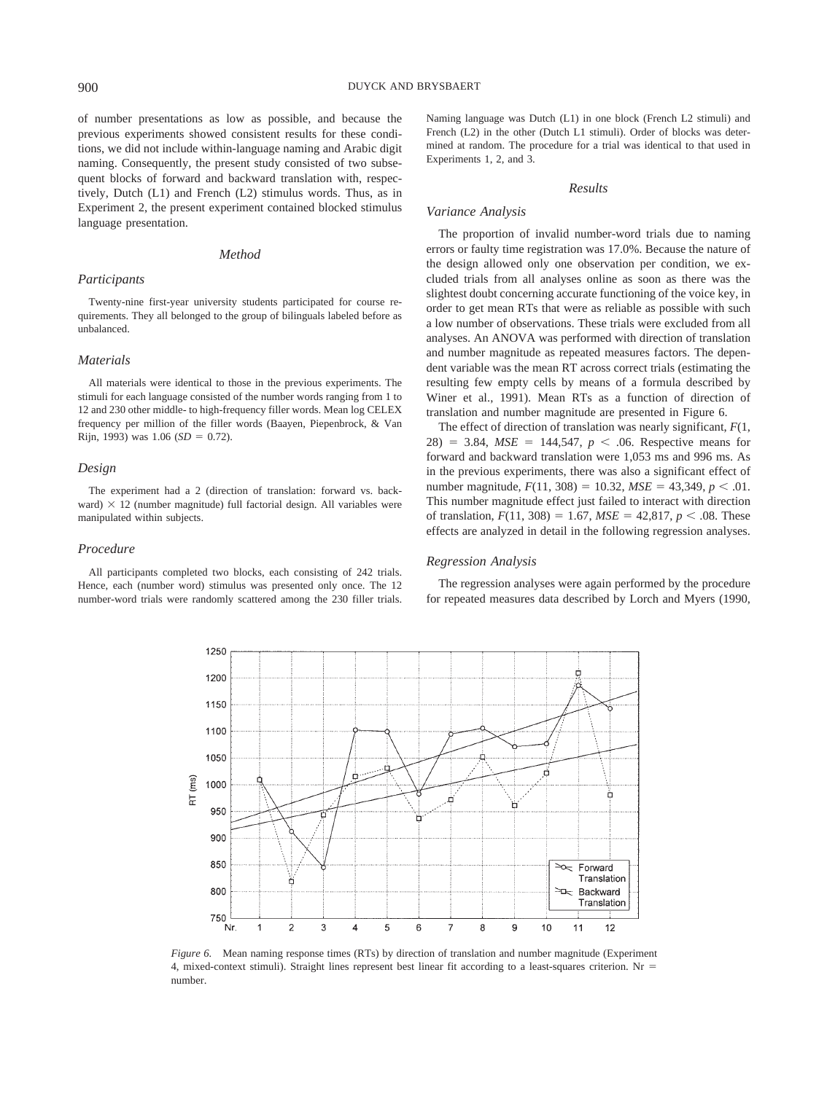of number presentations as low as possible, and because the previous experiments showed consistent results for these conditions, we did not include within-language naming and Arabic digit naming. Consequently, the present study consisted of two subsequent blocks of forward and backward translation with, respectively, Dutch (L1) and French (L2) stimulus words. Thus, as in Experiment 2, the present experiment contained blocked stimulus language presentation.

# *Method*

## *Participants*

Twenty-nine first-year university students participated for course requirements. They all belonged to the group of bilinguals labeled before as unbalanced.

## *Materials*

All materials were identical to those in the previous experiments. The stimuli for each language consisted of the number words ranging from 1 to 12 and 230 other middle- to high-frequency filler words. Mean log CELEX frequency per million of the filler words (Baayen, Piepenbrock, & Van Rijn, 1993) was  $1.06$  (*SD* = 0.72).

## *Design*

The experiment had a 2 (direction of translation: forward vs. backward)  $\times$  12 (number magnitude) full factorial design. All variables were manipulated within subjects.

## *Procedure*

All participants completed two blocks, each consisting of 242 trials. Hence, each (number word) stimulus was presented only once. The 12 number-word trials were randomly scattered among the 230 filler trials. Naming language was Dutch (L1) in one block (French L2 stimuli) and French (L2) in the other (Dutch L1 stimuli). Order of blocks was determined at random. The procedure for a trial was identical to that used in Experiments 1, 2, and 3.

#### *Results*

# *Variance Analysis*

The proportion of invalid number-word trials due to naming errors or faulty time registration was 17.0%. Because the nature of the design allowed only one observation per condition, we excluded trials from all analyses online as soon as there was the slightest doubt concerning accurate functioning of the voice key, in order to get mean RTs that were as reliable as possible with such a low number of observations. These trials were excluded from all analyses. An ANOVA was performed with direction of translation and number magnitude as repeated measures factors. The dependent variable was the mean RT across correct trials (estimating the resulting few empty cells by means of a formula described by Winer et al., 1991). Mean RTs as a function of direction of translation and number magnitude are presented in Figure 6.

The effect of direction of translation was nearly significant, *F*(1,  $28) = 3.84$ ,  $MSE = 144,547$ ,  $p < .06$ . Respective means for forward and backward translation were 1,053 ms and 996 ms. As in the previous experiments, there was also a significant effect of number magnitude,  $F(11, 308) = 10.32$ ,  $MSE = 43,349$ ,  $p < .01$ . This number magnitude effect just failed to interact with direction of translation,  $F(11, 308) = 1.67$ ,  $MSE = 42,817$ ,  $p < .08$ . These effects are analyzed in detail in the following regression analyses.

## *Regression Analysis*

The regression analyses were again performed by the procedure for repeated measures data described by Lorch and Myers (1990,



*Figure 6.* Mean naming response times (RTs) by direction of translation and number magnitude (Experiment 4, mixed-context stimuli). Straight lines represent best linear fit according to a least-squares criterion. Nr number.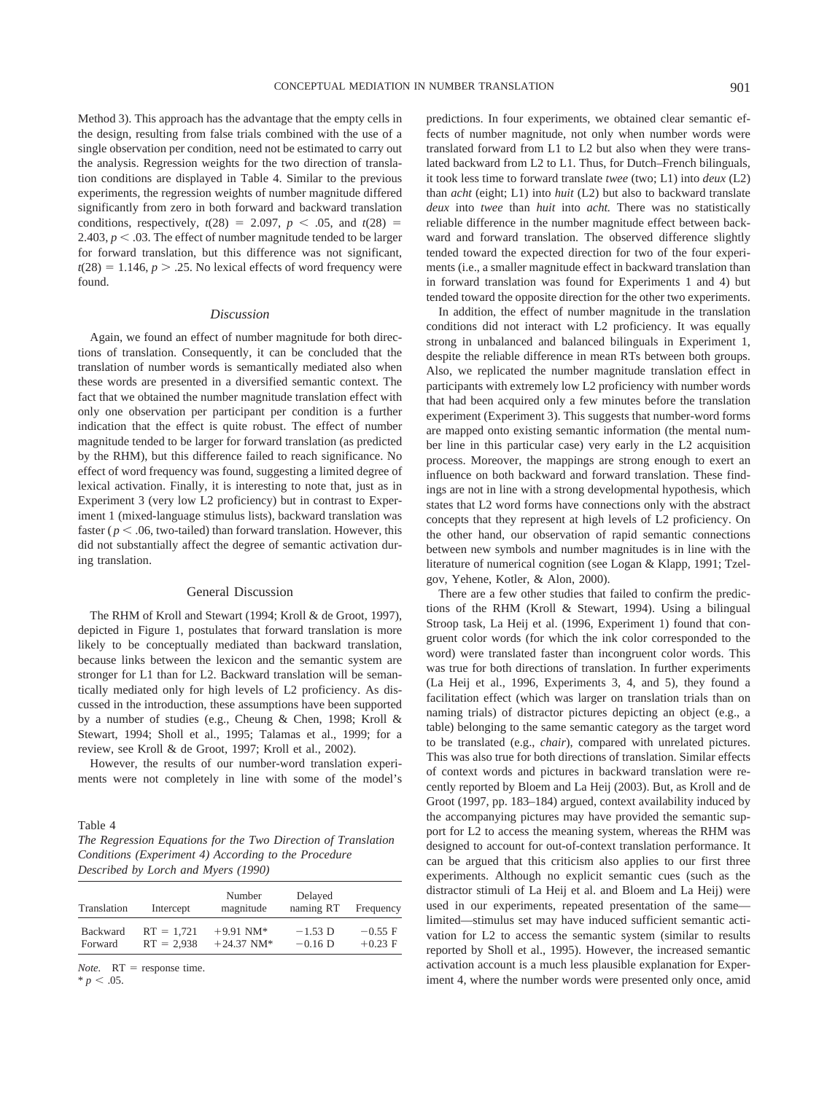Method 3). This approach has the advantage that the empty cells in the design, resulting from false trials combined with the use of a single observation per condition, need not be estimated to carry out the analysis. Regression weights for the two direction of translation conditions are displayed in Table 4. Similar to the previous experiments, the regression weights of number magnitude differed significantly from zero in both forward and backward translation conditions, respectively,  $t(28) = 2.097$ ,  $p < .05$ , and  $t(28) =$ 2.403,  $p < 0.03$ . The effect of number magnitude tended to be larger for forward translation, but this difference was not significant,  $t(28) = 1.146$ ,  $p > .25$ . No lexical effects of word frequency were found.

## *Discussion*

Again, we found an effect of number magnitude for both directions of translation. Consequently, it can be concluded that the translation of number words is semantically mediated also when these words are presented in a diversified semantic context. The fact that we obtained the number magnitude translation effect with only one observation per participant per condition is a further indication that the effect is quite robust. The effect of number magnitude tended to be larger for forward translation (as predicted by the RHM), but this difference failed to reach significance. No effect of word frequency was found, suggesting a limited degree of lexical activation. Finally, it is interesting to note that, just as in Experiment 3 (very low L2 proficiency) but in contrast to Experiment 1 (mixed-language stimulus lists), backward translation was faster ( $p < .06$ , two-tailed) than forward translation. However, this did not substantially affect the degree of semantic activation during translation.

## General Discussion

The RHM of Kroll and Stewart (1994; Kroll & de Groot, 1997), depicted in Figure 1, postulates that forward translation is more likely to be conceptually mediated than backward translation, because links between the lexicon and the semantic system are stronger for L1 than for L2. Backward translation will be semantically mediated only for high levels of L2 proficiency. As discussed in the introduction, these assumptions have been supported by a number of studies (e.g., Cheung & Chen, 1998; Kroll & Stewart, 1994; Sholl et al., 1995; Talamas et al., 1999; for a review, see Kroll & de Groot, 1997; Kroll et al., 2002).

However, the results of our number-word translation experiments were not completely in line with some of the model's

## Table 4

*The Regression Equations for the Two Direction of Translation Conditions (Experiment 4) According to the Procedure Described by Lorch and Myers (1990)*

| Translation | Intercept    | Number<br>magnitude | Delayed<br>naming RT | Frequency         |
|-------------|--------------|---------------------|----------------------|-------------------|
| Backward    | $RT = 1.721$ | $+9.91$ NM*         | $-1.53$ D            | $-0.55$ F         |
| Forward     | $RT = 2.938$ | $+24.37$ NM*        | $-0.16$ D            | $+0.23 \text{ F}$ |

*Note.*  $RT$  = response time.

 $* p < .05$ .

predictions. In four experiments, we obtained clear semantic effects of number magnitude, not only when number words were translated forward from L1 to L2 but also when they were translated backward from L2 to L1. Thus, for Dutch–French bilinguals, it took less time to forward translate *twee* (two; L1) into *deux* (L2) than *acht* (eight; L1) into *huit* (L2) but also to backward translate *deux* into *twee* than *huit* into *acht.* There was no statistically reliable difference in the number magnitude effect between backward and forward translation. The observed difference slightly tended toward the expected direction for two of the four experiments (i.e., a smaller magnitude effect in backward translation than in forward translation was found for Experiments 1 and 4) but tended toward the opposite direction for the other two experiments.

In addition, the effect of number magnitude in the translation conditions did not interact with L2 proficiency. It was equally strong in unbalanced and balanced bilinguals in Experiment 1, despite the reliable difference in mean RTs between both groups. Also, we replicated the number magnitude translation effect in participants with extremely low L2 proficiency with number words that had been acquired only a few minutes before the translation experiment (Experiment 3). This suggests that number-word forms are mapped onto existing semantic information (the mental number line in this particular case) very early in the L2 acquisition process. Moreover, the mappings are strong enough to exert an influence on both backward and forward translation. These findings are not in line with a strong developmental hypothesis, which states that L2 word forms have connections only with the abstract concepts that they represent at high levels of L2 proficiency. On the other hand, our observation of rapid semantic connections between new symbols and number magnitudes is in line with the literature of numerical cognition (see Logan & Klapp, 1991; Tzelgov, Yehene, Kotler, & Alon, 2000).

There are a few other studies that failed to confirm the predictions of the RHM (Kroll & Stewart, 1994). Using a bilingual Stroop task, La Heij et al. (1996, Experiment 1) found that congruent color words (for which the ink color corresponded to the word) were translated faster than incongruent color words. This was true for both directions of translation. In further experiments (La Heij et al., 1996, Experiments 3, 4, and 5), they found a facilitation effect (which was larger on translation trials than on naming trials) of distractor pictures depicting an object (e.g., a table) belonging to the same semantic category as the target word to be translated (e.g., *chair*), compared with unrelated pictures. This was also true for both directions of translation. Similar effects of context words and pictures in backward translation were recently reported by Bloem and La Heij (2003). But, as Kroll and de Groot (1997, pp. 183–184) argued, context availability induced by the accompanying pictures may have provided the semantic support for L2 to access the meaning system, whereas the RHM was designed to account for out-of-context translation performance. It can be argued that this criticism also applies to our first three experiments. Although no explicit semantic cues (such as the distractor stimuli of La Heij et al. and Bloem and La Heij) were used in our experiments, repeated presentation of the same limited—stimulus set may have induced sufficient semantic activation for L2 to access the semantic system (similar to results reported by Sholl et al., 1995). However, the increased semantic activation account is a much less plausible explanation for Experiment 4, where the number words were presented only once, amid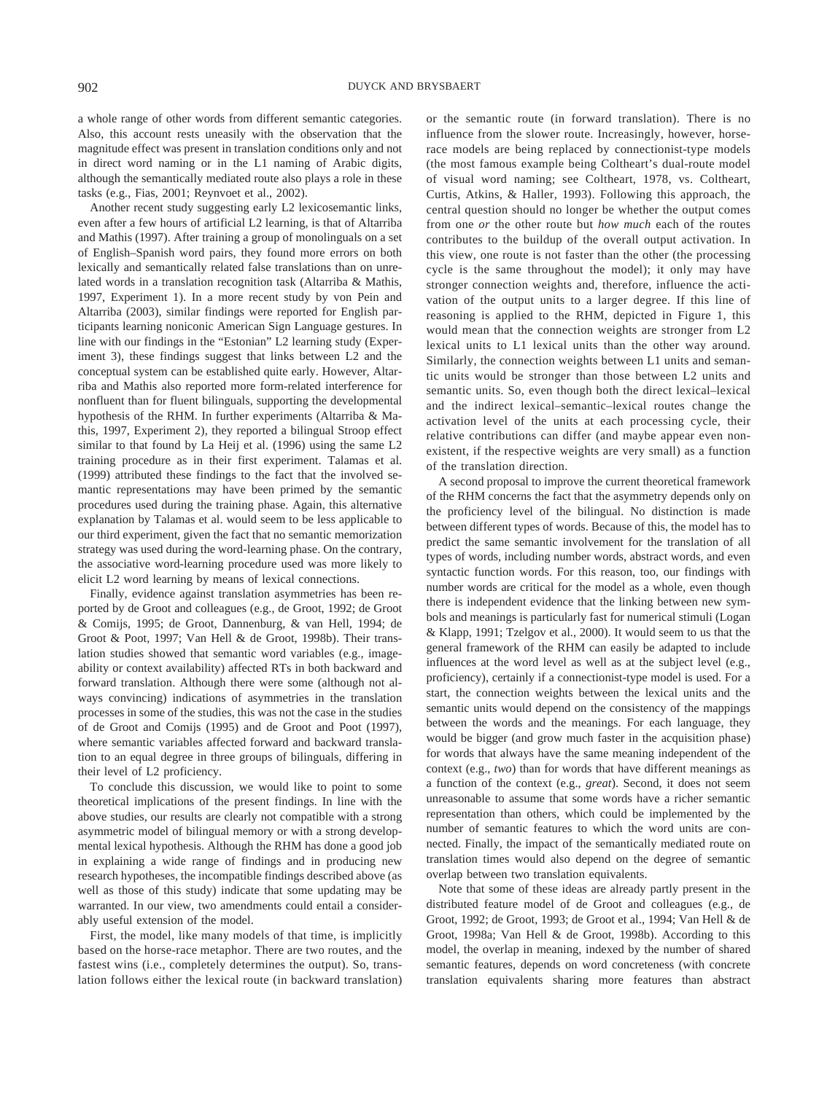a whole range of other words from different semantic categories. Also, this account rests uneasily with the observation that the magnitude effect was present in translation conditions only and not in direct word naming or in the L1 naming of Arabic digits, although the semantically mediated route also plays a role in these tasks (e.g., Fias, 2001; Reynvoet et al., 2002).

Another recent study suggesting early L2 lexicosemantic links, even after a few hours of artificial L2 learning, is that of Altarriba and Mathis (1997). After training a group of monolinguals on a set of English–Spanish word pairs, they found more errors on both lexically and semantically related false translations than on unrelated words in a translation recognition task (Altarriba & Mathis, 1997, Experiment 1). In a more recent study by von Pein and Altarriba (2003), similar findings were reported for English participants learning noniconic American Sign Language gestures. In line with our findings in the "Estonian" L2 learning study (Experiment 3), these findings suggest that links between L2 and the conceptual system can be established quite early. However, Altarriba and Mathis also reported more form-related interference for nonfluent than for fluent bilinguals, supporting the developmental hypothesis of the RHM. In further experiments (Altarriba & Mathis, 1997, Experiment 2), they reported a bilingual Stroop effect similar to that found by La Heij et al. (1996) using the same L2 training procedure as in their first experiment. Talamas et al. (1999) attributed these findings to the fact that the involved semantic representations may have been primed by the semantic procedures used during the training phase. Again, this alternative explanation by Talamas et al. would seem to be less applicable to our third experiment, given the fact that no semantic memorization strategy was used during the word-learning phase. On the contrary, the associative word-learning procedure used was more likely to elicit L2 word learning by means of lexical connections.

Finally, evidence against translation asymmetries has been reported by de Groot and colleagues (e.g., de Groot, 1992; de Groot & Comijs, 1995; de Groot, Dannenburg, & van Hell, 1994; de Groot & Poot, 1997; Van Hell & de Groot, 1998b). Their translation studies showed that semantic word variables (e.g., imageability or context availability) affected RTs in both backward and forward translation. Although there were some (although not always convincing) indications of asymmetries in the translation processes in some of the studies, this was not the case in the studies of de Groot and Comijs (1995) and de Groot and Poot (1997), where semantic variables affected forward and backward translation to an equal degree in three groups of bilinguals, differing in their level of L2 proficiency.

To conclude this discussion, we would like to point to some theoretical implications of the present findings. In line with the above studies, our results are clearly not compatible with a strong asymmetric model of bilingual memory or with a strong developmental lexical hypothesis. Although the RHM has done a good job in explaining a wide range of findings and in producing new research hypotheses, the incompatible findings described above (as well as those of this study) indicate that some updating may be warranted. In our view, two amendments could entail a considerably useful extension of the model.

First, the model, like many models of that time, is implicitly based on the horse-race metaphor. There are two routes, and the fastest wins (i.e., completely determines the output). So, translation follows either the lexical route (in backward translation) or the semantic route (in forward translation). There is no influence from the slower route. Increasingly, however, horserace models are being replaced by connectionist-type models (the most famous example being Coltheart's dual-route model of visual word naming; see Coltheart, 1978, vs. Coltheart, Curtis, Atkins, & Haller, 1993). Following this approach, the central question should no longer be whether the output comes from one *or* the other route but *how much* each of the routes contributes to the buildup of the overall output activation. In this view, one route is not faster than the other (the processing cycle is the same throughout the model); it only may have stronger connection weights and, therefore, influence the activation of the output units to a larger degree. If this line of reasoning is applied to the RHM, depicted in Figure 1, this would mean that the connection weights are stronger from L2 lexical units to L1 lexical units than the other way around. Similarly, the connection weights between L1 units and semantic units would be stronger than those between L2 units and semantic units. So, even though both the direct lexical–lexical and the indirect lexical–semantic–lexical routes change the activation level of the units at each processing cycle, their relative contributions can differ (and maybe appear even nonexistent, if the respective weights are very small) as a function of the translation direction.

A second proposal to improve the current theoretical framework of the RHM concerns the fact that the asymmetry depends only on the proficiency level of the bilingual. No distinction is made between different types of words. Because of this, the model has to predict the same semantic involvement for the translation of all types of words, including number words, abstract words, and even syntactic function words. For this reason, too, our findings with number words are critical for the model as a whole, even though there is independent evidence that the linking between new symbols and meanings is particularly fast for numerical stimuli (Logan & Klapp, 1991; Tzelgov et al., 2000). It would seem to us that the general framework of the RHM can easily be adapted to include influences at the word level as well as at the subject level (e.g., proficiency), certainly if a connectionist-type model is used. For a start, the connection weights between the lexical units and the semantic units would depend on the consistency of the mappings between the words and the meanings. For each language, they would be bigger (and grow much faster in the acquisition phase) for words that always have the same meaning independent of the context (e.g., *two*) than for words that have different meanings as a function of the context (e.g., *great*). Second, it does not seem unreasonable to assume that some words have a richer semantic representation than others, which could be implemented by the number of semantic features to which the word units are connected. Finally, the impact of the semantically mediated route on translation times would also depend on the degree of semantic overlap between two translation equivalents.

Note that some of these ideas are already partly present in the distributed feature model of de Groot and colleagues (e.g., de Groot, 1992; de Groot, 1993; de Groot et al., 1994; Van Hell & de Groot, 1998a; Van Hell & de Groot, 1998b). According to this model, the overlap in meaning, indexed by the number of shared semantic features, depends on word concreteness (with concrete translation equivalents sharing more features than abstract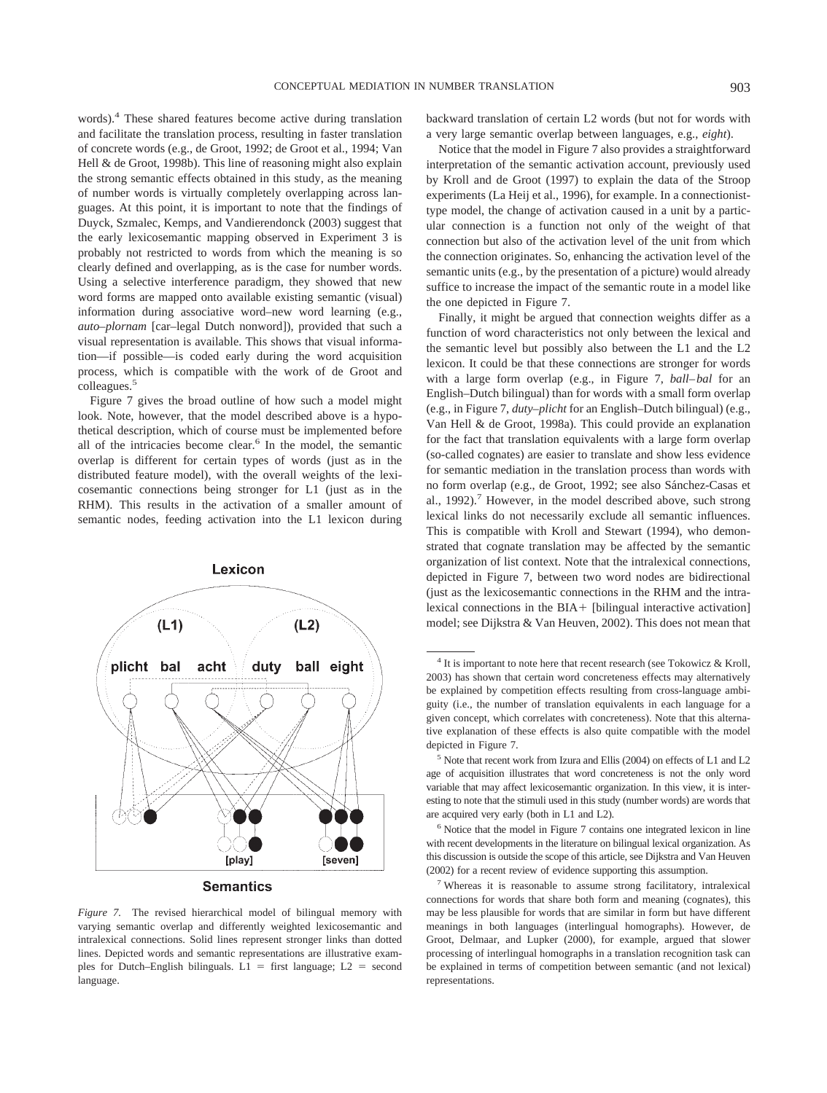words).4 These shared features become active during translation and facilitate the translation process, resulting in faster translation of concrete words (e.g., de Groot, 1992; de Groot et al., 1994; Van Hell & de Groot, 1998b). This line of reasoning might also explain the strong semantic effects obtained in this study, as the meaning of number words is virtually completely overlapping across languages. At this point, it is important to note that the findings of Duyck, Szmalec, Kemps, and Vandierendonck (2003) suggest that the early lexicosemantic mapping observed in Experiment 3 is probably not restricted to words from which the meaning is so clearly defined and overlapping, as is the case for number words. Using a selective interference paradigm, they showed that new word forms are mapped onto available existing semantic (visual) information during associative word–new word learning (e.g., *auto–plornam* [car–legal Dutch nonword]), provided that such a visual representation is available. This shows that visual information—if possible—is coded early during the word acquisition process, which is compatible with the work of de Groot and colleagues.<sup>5</sup>

Figure 7 gives the broad outline of how such a model might look. Note, however, that the model described above is a hypothetical description, which of course must be implemented before all of the intricacies become clear.6 In the model, the semantic overlap is different for certain types of words (just as in the distributed feature model), with the overall weights of the lexicosemantic connections being stronger for L1 (just as in the RHM). This results in the activation of a smaller amount of semantic nodes, feeding activation into the L1 lexicon during



## **Semantics**

*Figure 7.* The revised hierarchical model of bilingual memory with varying semantic overlap and differently weighted lexicosemantic and intralexical connections. Solid lines represent stronger links than dotted lines. Depicted words and semantic representations are illustrative examples for Dutch–English bilinguals.  $L1 =$  first language;  $L2 =$  second language.

backward translation of certain L2 words (but not for words with a very large semantic overlap between languages, e.g., *eight*).

Notice that the model in Figure 7 also provides a straightforward interpretation of the semantic activation account, previously used by Kroll and de Groot (1997) to explain the data of the Stroop experiments (La Heij et al., 1996), for example. In a connectionisttype model, the change of activation caused in a unit by a particular connection is a function not only of the weight of that connection but also of the activation level of the unit from which the connection originates. So, enhancing the activation level of the semantic units (e.g., by the presentation of a picture) would already suffice to increase the impact of the semantic route in a model like the one depicted in Figure 7.

Finally, it might be argued that connection weights differ as a function of word characteristics not only between the lexical and the semantic level but possibly also between the L1 and the L2 lexicon. It could be that these connections are stronger for words with a large form overlap (e.g., in Figure 7, *ball–bal* for an English–Dutch bilingual) than for words with a small form overlap (e.g., in Figure 7, *duty–plicht* for an English–Dutch bilingual) (e.g., Van Hell & de Groot, 1998a). This could provide an explanation for the fact that translation equivalents with a large form overlap (so-called cognates) are easier to translate and show less evidence for semantic mediation in the translation process than words with no form overlap (e.g., de Groot, 1992; see also Sánchez-Casas et al., 1992).<sup>7</sup> However, in the model described above, such strong lexical links do not necessarily exclude all semantic influences. This is compatible with Kroll and Stewart (1994), who demonstrated that cognate translation may be affected by the semantic organization of list context. Note that the intralexical connections, depicted in Figure 7, between two word nodes are bidirectional (just as the lexicosemantic connections in the RHM and the intralexical connections in the  $BIA +$  [bilingual interactive activation] model; see Dijkstra & Van Heuven, 2002). This does not mean that

<sup>&</sup>lt;sup>4</sup> It is important to note here that recent research (see Tokowicz & Kroll, 2003) has shown that certain word concreteness effects may alternatively be explained by competition effects resulting from cross-language ambiguity (i.e., the number of translation equivalents in each language for a given concept, which correlates with concreteness). Note that this alternative explanation of these effects is also quite compatible with the model depicted in Figure 7.

<sup>5</sup> Note that recent work from Izura and Ellis (2004) on effects of L1 and L2 age of acquisition illustrates that word concreteness is not the only word variable that may affect lexicosemantic organization. In this view, it is interesting to note that the stimuli used in this study (number words) are words that are acquired very early (both in L1 and L2).

 $6$  Notice that the model in Figure 7 contains one integrated lexicon in line with recent developments in the literature on bilingual lexical organization. As this discussion is outside the scope of this article, see Dijkstra and Van Heuven (2002) for a recent review of evidence supporting this assumption.

 $7$  Whereas it is reasonable to assume strong facilitatory, intralexical connections for words that share both form and meaning (cognates), this may be less plausible for words that are similar in form but have different meanings in both languages (interlingual homographs). However, de Groot, Delmaar, and Lupker (2000), for example, argued that slower processing of interlingual homographs in a translation recognition task can be explained in terms of competition between semantic (and not lexical) representations.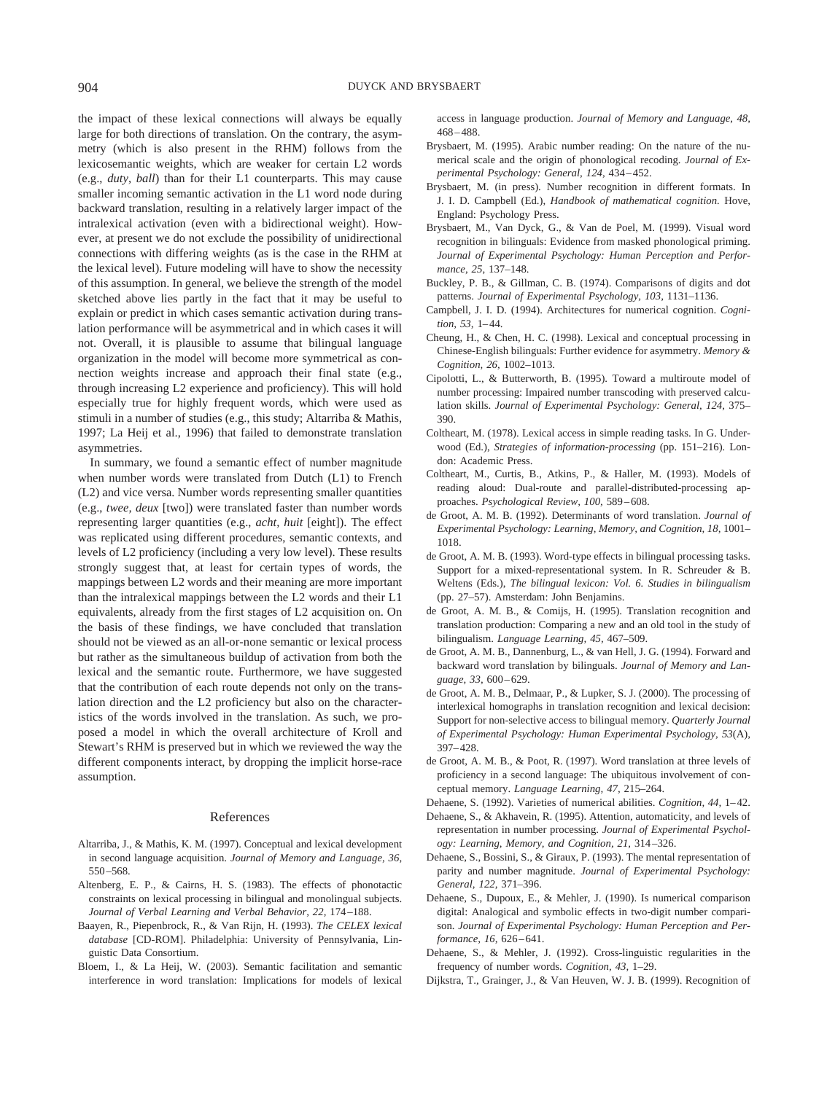the impact of these lexical connections will always be equally large for both directions of translation. On the contrary, the asymmetry (which is also present in the RHM) follows from the lexicosemantic weights, which are weaker for certain L2 words (e.g., *duty, ball*) than for their L1 counterparts. This may cause smaller incoming semantic activation in the L1 word node during backward translation, resulting in a relatively larger impact of the intralexical activation (even with a bidirectional weight). However, at present we do not exclude the possibility of unidirectional connections with differing weights (as is the case in the RHM at the lexical level). Future modeling will have to show the necessity of this assumption. In general, we believe the strength of the model sketched above lies partly in the fact that it may be useful to explain or predict in which cases semantic activation during translation performance will be asymmetrical and in which cases it will not. Overall, it is plausible to assume that bilingual language organization in the model will become more symmetrical as connection weights increase and approach their final state (e.g., through increasing L2 experience and proficiency). This will hold especially true for highly frequent words, which were used as stimuli in a number of studies (e.g., this study; Altarriba & Mathis, 1997; La Heij et al., 1996) that failed to demonstrate translation asymmetries.

In summary, we found a semantic effect of number magnitude when number words were translated from Dutch (L1) to French (L2) and vice versa. Number words representing smaller quantities (e.g., *twee, deux* [two]) were translated faster than number words representing larger quantities (e.g., *acht, huit* [eight]). The effect was replicated using different procedures, semantic contexts, and levels of L2 proficiency (including a very low level). These results strongly suggest that, at least for certain types of words, the mappings between L2 words and their meaning are more important than the intralexical mappings between the L2 words and their L1 equivalents, already from the first stages of L2 acquisition on. On the basis of these findings, we have concluded that translation should not be viewed as an all-or-none semantic or lexical process but rather as the simultaneous buildup of activation from both the lexical and the semantic route. Furthermore, we have suggested that the contribution of each route depends not only on the translation direction and the L2 proficiency but also on the characteristics of the words involved in the translation. As such, we proposed a model in which the overall architecture of Kroll and Stewart's RHM is preserved but in which we reviewed the way the different components interact, by dropping the implicit horse-race assumption.

## References

- Altarriba, J., & Mathis, K. M. (1997). Conceptual and lexical development in second language acquisition. *Journal of Memory and Language, 36,* 550–568.
- Altenberg, E. P., & Cairns, H. S. (1983). The effects of phonotactic constraints on lexical processing in bilingual and monolingual subjects. *Journal of Verbal Learning and Verbal Behavior, 22,* 174–188.
- Baayen, R., Piepenbrock, R., & Van Rijn, H. (1993). *The CELEX lexical database* [CD-ROM]. Philadelphia: University of Pennsylvania, Linguistic Data Consortium.
- Bloem, I., & La Heij, W. (2003). Semantic facilitation and semantic interference in word translation: Implications for models of lexical

access in language production. *Journal of Memory and Language, 48,* 468–488.

- Brysbaert, M. (1995). Arabic number reading: On the nature of the numerical scale and the origin of phonological recoding. *Journal of Experimental Psychology: General, 124,* 434–452.
- Brysbaert, M. (in press). Number recognition in different formats. In J. I. D. Campbell (Ed.), *Handbook of mathematical cognition.* Hove, England: Psychology Press.
- Brysbaert, M., Van Dyck, G., & Van de Poel, M. (1999). Visual word recognition in bilinguals: Evidence from masked phonological priming. *Journal of Experimental Psychology: Human Perception and Performance, 25,* 137–148.
- Buckley, P. B., & Gillman, C. B. (1974). Comparisons of digits and dot patterns. *Journal of Experimental Psychology, 103,* 1131–1136.
- Campbell, J. I. D. (1994). Architectures for numerical cognition. *Cognition, 53,* 1–44.
- Cheung, H., & Chen, H. C. (1998). Lexical and conceptual processing in Chinese-English bilinguals: Further evidence for asymmetry. *Memory & Cognition, 26,* 1002–1013.
- Cipolotti, L., & Butterworth, B. (1995). Toward a multiroute model of number processing: Impaired number transcoding with preserved calculation skills. *Journal of Experimental Psychology: General, 124,* 375– 390.
- Coltheart, M. (1978). Lexical access in simple reading tasks. In G. Underwood (Ed.), *Strategies of information-processing* (pp. 151–216)*.* London: Academic Press.
- Coltheart, M., Curtis, B., Atkins, P., & Haller, M. (1993). Models of reading aloud: Dual-route and parallel-distributed-processing approaches. *Psychological Review, 100,* 589–608.
- de Groot, A. M. B. (1992). Determinants of word translation. *Journal of Experimental Psychology: Learning, Memory, and Cognition, 18,* 1001– 1018.
- de Groot, A. M. B. (1993). Word-type effects in bilingual processing tasks. Support for a mixed-representational system. In R. Schreuder & B. Weltens (Eds.), *The bilingual lexicon: Vol. 6. Studies in bilingualism* (pp. 27–57). Amsterdam: John Benjamins.
- de Groot, A. M. B., & Comijs, H. (1995). Translation recognition and translation production: Comparing a new and an old tool in the study of bilingualism. *Language Learning, 45,* 467–509.
- de Groot, A. M. B., Dannenburg, L., & van Hell, J. G. (1994). Forward and backward word translation by bilinguals. *Journal of Memory and Language, 33,* 600–629.
- de Groot, A. M. B., Delmaar, P., & Lupker, S. J. (2000). The processing of interlexical homographs in translation recognition and lexical decision: Support for non-selective access to bilingual memory. *Quarterly Journal of Experimental Psychology: Human Experimental Psychology, 53*(A)*,* 397–428.
- de Groot, A. M. B., & Poot, R. (1997). Word translation at three levels of proficiency in a second language: The ubiquitous involvement of conceptual memory. *Language Learning, 47,* 215–264.
- Dehaene, S. (1992). Varieties of numerical abilities. *Cognition, 44,* 1–42.
- Dehaene, S., & Akhavein, R. (1995). Attention, automaticity, and levels of representation in number processing. *Journal of Experimental Psychology: Learning, Memory, and Cognition, 21,* 314–326.
- Dehaene, S., Bossini, S., & Giraux, P. (1993). The mental representation of parity and number magnitude. *Journal of Experimental Psychology: General, 122,* 371–396.
- Dehaene, S., Dupoux, E., & Mehler, J. (1990). Is numerical comparison digital: Analogical and symbolic effects in two-digit number comparison. *Journal of Experimental Psychology: Human Perception and Performance, 16,* 626–641.
- Dehaene, S., & Mehler, J. (1992). Cross-linguistic regularities in the frequency of number words. *Cognition, 43,* 1–29.
- Dijkstra, T., Grainger, J., & Van Heuven, W. J. B. (1999). Recognition of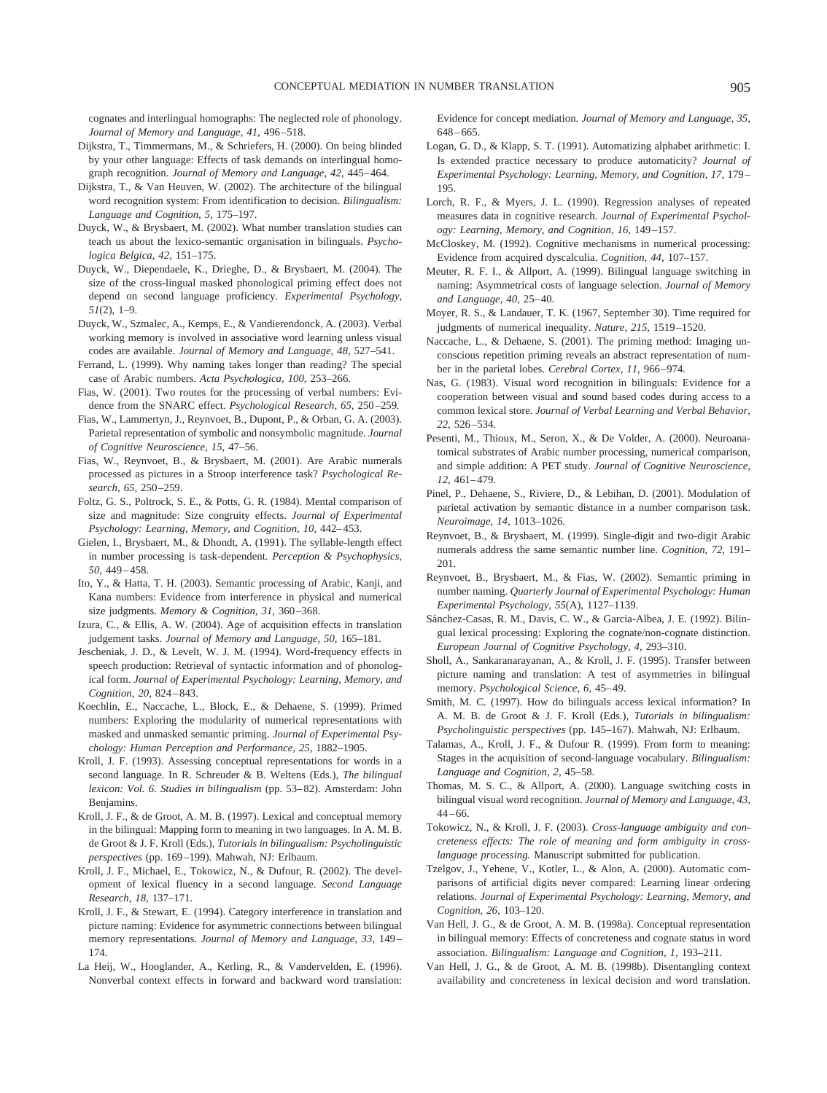cognates and interlingual homographs: The neglected role of phonology. *Journal of Memory and Language, 41,* 496–518.

- Dijkstra, T., Timmermans, M., & Schriefers, H. (2000). On being blinded by your other language: Effects of task demands on interlingual homograph recognition. *Journal of Memory and Language, 42,* 445–464.
- Dijkstra, T., & Van Heuven, W. (2002). The architecture of the bilingual word recognition system: From identification to decision. *Bilingualism: Language and Cognition, 5,* 175–197.
- Duyck, W., & Brysbaert, M. (2002). What number translation studies can teach us about the lexico-semantic organisation in bilinguals. *Psychologica Belgica, 42,* 151–175.
- Duyck, W., Diependaele, K., Drieghe, D., & Brysbaert, M. (2004). The size of the cross-lingual masked phonological priming effect does not depend on second language proficiency. *Experimental Psychology, 51*(2), 1–9.
- Duyck, W., Szmalec, A., Kemps, E., & Vandierendonck, A. (2003). Verbal working memory is involved in associative word learning unless visual codes are available. *Journal of Memory and Language, 48,* 527–541.
- Ferrand, L. (1999). Why naming takes longer than reading? The special case of Arabic numbers. *Acta Psychologica, 100,* 253–266.
- Fias, W. (2001). Two routes for the processing of verbal numbers: Evidence from the SNARC effect. *Psychological Research, 65,* 250–259*.*
- Fias, W., Lammertyn, J., Reynvoet, B., Dupont, P., & Orban, G. A. (2003). Parietal representation of symbolic and nonsymbolic magnitude. *Journal of Cognitive Neuroscience, 15,* 47–56.
- Fias, W., Reynvoet, B., & Brysbaert, M. (2001). Are Arabic numerals processed as pictures in a Stroop interference task? *Psychological Research, 65,* 250–259.
- Foltz, G. S., Poltrock, S. E., & Potts, G. R. (1984). Mental comparison of size and magnitude: Size congruity effects. *Journal of Experimental Psychology: Learning, Memory, and Cognition, 10,* 442–453.
- Gielen, I., Brysbaert, M., & Dhondt, A. (1991). The syllable-length effect in number processing is task-dependent. *Perception & Psychophysics, 50,* 449–458.
- Ito, Y., & Hatta, T. H. (2003). Semantic processing of Arabic, Kanji, and Kana numbers: Evidence from interference in physical and numerical size judgments. *Memory & Cognition, 31,* 360–368.
- Izura, C., & Ellis, A. W. (2004). Age of acquisition effects in translation judgement tasks. *Journal of Memory and Language, 50,* 165–181.
- Jescheniak, J. D., & Levelt, W. J. M. (1994). Word-frequency effects in speech production: Retrieval of syntactic information and of phonological form. *Journal of Experimental Psychology: Learning, Memory, and Cognition, 20,* 824–843.
- Koechlin, E., Naccache, L., Block, E., & Dehaene, S. (1999). Primed numbers: Exploring the modularity of numerical representations with masked and unmasked semantic priming. *Journal of Experimental Psychology: Human Perception and Performance, 25,* 1882–1905.
- Kroll, J. F. (1993). Assessing conceptual representations for words in a second language. In R. Schreuder & B. Weltens (Eds.), *The bilingual lexicon: Vol. 6. Studies in bilingualism* (pp. 53–82). Amsterdam: John Benjamins.
- Kroll, J. F., & de Groot, A. M. B. (1997). Lexical and conceptual memory in the bilingual: Mapping form to meaning in two languages. In A. M. B. de Groot & J. F. Kroll (Eds.), *Tutorials in bilingualism: Psycholinguistic perspectives* (pp. 169–199). Mahwah, NJ: Erlbaum.
- Kroll, J. F., Michael, E., Tokowicz, N., & Dufour, R. (2002). The development of lexical fluency in a second language. *Second Language Research, 18,* 137–171.
- Kroll, J. F., & Stewart, E. (1994). Category interference in translation and picture naming: Evidence for asymmetric connections between bilingual memory representations. *Journal of Memory and Language, 33,* 149– 174.
- La Heij, W., Hooglander, A., Kerling, R., & Vandervelden, E. (1996). Nonverbal context effects in forward and backward word translation:

Evidence for concept mediation. *Journal of Memory and Language, 35,* 648–665.

- Logan, G. D., & Klapp, S. T. (1991). Automatizing alphabet arithmetic: I. Is extended practice necessary to produce automaticity? *Journal of Experimental Psychology: Learning, Memory, and Cognition, 17,* 179– 195.
- Lorch, R. F., & Myers, J. L. (1990). Regression analyses of repeated measures data in cognitive research. *Journal of Experimental Psychology: Learning, Memory, and Cognition, 16,* 149–157.
- McCloskey, M. (1992). Cognitive mechanisms in numerical processing: Evidence from acquired dyscalculia. *Cognition, 44,* 107–157.
- Meuter, R. F. I., & Allport, A. (1999). Bilingual language switching in naming: Asymmetrical costs of language selection. *Journal of Memory and Language, 40,* 25–40.
- Moyer, R. S., & Landauer, T. K. (1967, September 30). Time required for judgments of numerical inequality. *Nature, 215,* 1519–1520.
- Naccache, L., & Dehaene, S. (2001). The priming method: Imaging unconscious repetition priming reveals an abstract representation of number in the parietal lobes. *Cerebral Cortex, 11,* 966–974.
- Nas, G. (1983). Visual word recognition in bilinguals: Evidence for a cooperation between visual and sound based codes during access to a common lexical store. *Journal of Verbal Learning and Verbal Behavior, 22,* 526–534.
- Pesenti, M., Thioux, M., Seron, X., & De Volder, A. (2000). Neuroanatomical substrates of Arabic number processing, numerical comparison, and simple addition: A PET study. *Journal of Cognitive Neuroscience, 12,* 461–479.
- Pinel, P., Dehaene, S., Riviere, D., & Lebihan, D. (2001). Modulation of parietal activation by semantic distance in a number comparison task. *Neuroimage, 14,* 1013–1026.
- Reynvoet, B., & Brysbaert, M. (1999). Single-digit and two-digit Arabic numerals address the same semantic number line. *Cognition, 72,* 191– 201.
- Reynvoet, B., Brysbaert, M., & Fias, W. (2002). Semantic priming in number naming. *Quarterly Journal of Experimental Psychology: Human Experimental Psychology, 55*(A)*,* 1127–1139.
- Sánchez-Casas, R. M., Davis, C. W., & Garcia-Albea, J. E. (1992). Bilingual lexical processing: Exploring the cognate/non-cognate distinction. *European Journal of Cognitive Psychology, 4,* 293–310.
- Sholl, A., Sankaranarayanan, A., & Kroll, J. F. (1995). Transfer between picture naming and translation: A test of asymmetries in bilingual memory. *Psychological Science, 6,* 45–49.
- Smith, M. C. (1997). How do bilinguals access lexical information? In A. M. B. de Groot & J. F. Kroll (Eds.), *Tutorials in bilingualism: Psycholinguistic perspectives* (pp. 145–167). Mahwah, NJ: Erlbaum.
- Talamas, A., Kroll, J. F., & Dufour R. (1999). From form to meaning: Stages in the acquisition of second-language vocabulary. *Bilingualism: Language and Cognition, 2,* 45–58.
- Thomas, M. S. C., & Allport, A. (2000). Language switching costs in bilingual visual word recognition. *Journal of Memory and Language, 43,* 44–66.
- Tokowicz, N., & Kroll, J. F. (2003). *Cross-language ambiguity and concreteness effects: The role of meaning and form ambiguity in crosslanguage processing.* Manuscript submitted for publication.
- Tzelgov, J., Yehene, V., Kotler, L., & Alon, A. (2000). Automatic comparisons of artificial digits never compared: Learning linear ordering relations. *Journal of Experimental Psychology: Learning, Memory, and Cognition, 26,* 103–120.
- Van Hell, J. G., & de Groot, A. M. B. (1998a). Conceptual representation in bilingual memory: Effects of concreteness and cognate status in word association. *Bilingualism: Language and Cognition, 1,* 193–211.
- Van Hell, J. G., & de Groot, A. M. B. (1998b). Disentangling context availability and concreteness in lexical decision and word translation.